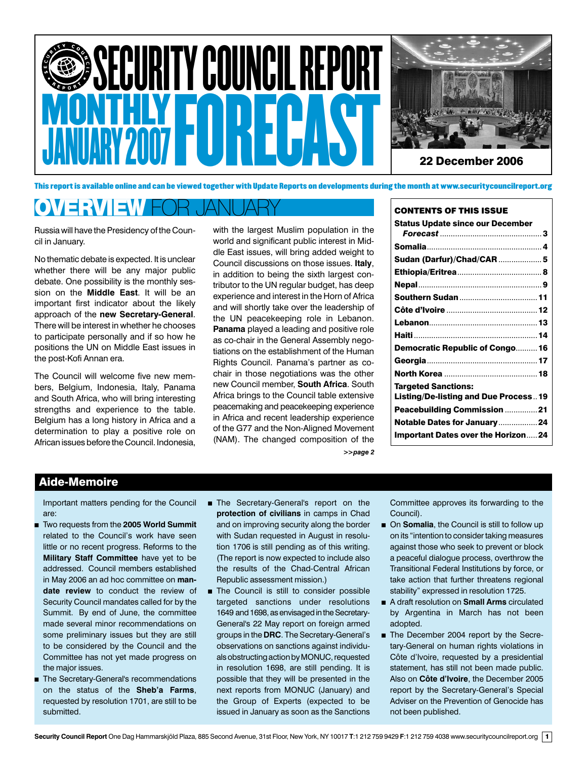



This report is available online and can be viewed together with Update Reports on developments during the month at www.securitycouncilreport.org

# OVERVIEW FOR JANUARY

Russia will have the Presidency of the Council in January.

No thematic debate is expected. It is unclear whether there will be any major public debate. One possibility is the monthly session on the **Middle East**. It will be an important first indicator about the likely approach of the **new Secretary-General**. There will be interest in whether he chooses to participate personally and if so how he positions the UN on Middle East issues in the post-Kofi Annan era.

The Council will welcome five new members, Belgium, Indonesia, Italy, Panama and South Africa, who will bring interesting strengths and experience to the table. Belgium has a long history in Africa and a determination to play a positive role on African issues before the Council. Indonesia, with the largest Muslim population in the world and significant public interest in Middle East issues, will bring added weight to Council discussions on those issues. **Italy**, in addition to being the sixth largest contributor to the UN regular budget, has deep experience and interest in the Horn of Africa and will shortly take over the leadership of the UN peacekeeping role in Lebanon. **Panama** played a leading and positive role as co-chair in the General Assembly negotiations on the establishment of the Human Rights Council. Panama's partner as cochair in those negotiations was the other new Council member, **South Africa**. South Africa brings to the Council table extensive peacemaking and peacekeeping experience in Africa and recent leadership experience of the G77 and the Non-Aligned Movement (NAM). The changed composition of the *>>page 2*

|  |  |  | <b>CONTENTS OF THIS ISSUE</b> |
|--|--|--|-------------------------------|
|  |  |  |                               |

| <b>Status Update since our December</b>     |  |
|---------------------------------------------|--|
|                                             |  |
|                                             |  |
| Sudan (Darfur)/Chad/CAR  5                  |  |
|                                             |  |
|                                             |  |
|                                             |  |
|                                             |  |
|                                             |  |
|                                             |  |
| Democratic Republic of Congo 16             |  |
|                                             |  |
|                                             |  |
| <b>Targeted Sanctions:</b>                  |  |
| <b>Listing/De-listing and Due Process19</b> |  |
| Peacebuilding Commission 21                 |  |
| Notable Dates for January24                 |  |
| <b>Important Dates over the Horizon24</b>   |  |
|                                             |  |

# Aide-Memoire

Important matters pending for the Council are:

- Two requests from the **2005 World Summit** related to the Council's work have seen little or no recent progress. Reforms to the **Military Staff Committee** have yet to be addressed. Council members established in May 2006 an ad hoc committee on **mandate review** to conduct the review of Security Council mandates called for by the Summit. By end of June, the committee made several minor recommendations on some preliminary issues but they are still to be considered by the Council and the Committee has not yet made progress on the major issues.
- **n** The Secretary-General's recommendations on the status of the **Sheb'a Farms**, requested by resolution 1701, are still to be submitted.
- The Secretary-General's report on the **protection of civilians** in camps in Chad and on improving security along the border with Sudan requested in August in resolution 1706 is still pending as of this writing. (The report is now expected to include also the results of the Chad-Central African Republic assessment mission.)
- $\blacksquare$  The Council is still to consider possible targeted sanctions under resolutions 1649 and 1698, as envisaged in the Secretary-General's 22 May report on foreign armed groups in the **DRC**. The Secretary-General's observations on sanctions against individuals obstructing action by MONUC, requested in resolution 1698, are still pending. It is possible that they will be presented in the next reports from MONUC (January) and the Group of Experts (expected to be issued in January as soon as the Sanctions

Committee approves its forwarding to the Council).

- On **Somalia**, the Council is still to follow up on its "intention to consider taking measures against those who seek to prevent or block a peaceful dialogue process, overthrow the Transitional Federal Institutions by force, or take action that further threatens regional stability" expressed in resolution 1725.
- A draft resolution on **Small Arms** circulated by Argentina in March has not been adopted.
- The December 2004 report by the Secretary-General on human rights violations in Côte d'Ivoire, requested by a presidential statement, has still not been made public. Also on **Côte d'Ivoire**, the December 2005 report by the Secretary-General's Special Adviser on the Prevention of Genocide has not been published.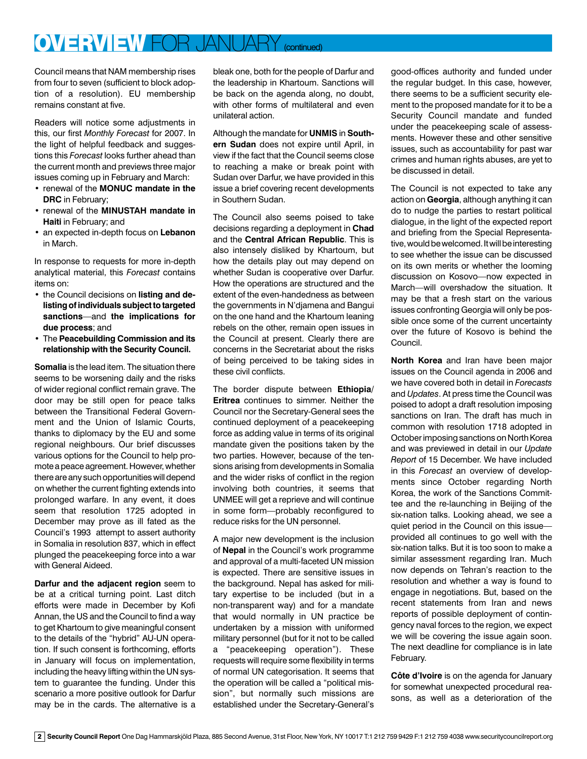# OVERVIEW FOR JANUARY (continued)

Council means that NAM membership rises from four to seven (sufficient to block adoption of a resolution). EU membership remains constant at five.

Readers will notice some adjustments in this, our first *Monthly Forecast* for 2007. In the light of helpful feedback and suggestions this *Forecast* looks further ahead than the current month and previews three major issues coming up in February and March:

- renewal of the **MONUC mandate in the DRC** in February;
- renewal of the **MINUSTAH mandate in Haiti** in February; and
- an expected in-depth focus on **Lebanon**  in March.

In response to requests for more in-depth analytical material, this *Forecast* contains items on:

- the Council decisions on **listing and delisting of individuals subject to targeted sanctions**—and **the implications for due process**; and
- The **Peacebuilding Commission and its relationship with the Security Council.**

**Somalia** is the lead item. The situation there seems to be worsening daily and the risks of wider regional conflict remain grave. The door may be still open for peace talks between the Transitional Federal Government and the Union of Islamic Courts, thanks to diplomacy by the EU and some regional neighbours. Our brief discusses various options for the Council to help promote a peace agreement. However, whether there are any such opportunities will depend on whether the current fighting extends into prolonged warfare. In any event, it does seem that resolution 1725 adopted in December may prove as ill fated as the Council's 1993 attempt to assert authority in Somalia in resolution 837, which in effect plunged the peacekeeping force into a war with General Aideed.

**Darfur and the adjacent region** seem to be at a critical turning point. Last ditch efforts were made in December by Kofi Annan, the US and the Council to find a way to get Khartoum to give meaningful consent to the details of the "hybrid" AU-UN operation. If such consent is forthcoming, efforts in January will focus on implementation, including the heavy lifting within the UN system to guarantee the funding. Under this scenario a more positive outlook for Darfur may be in the cards. The alternative is a bleak one, both for the people of Darfur and the leadership in Khartoum. Sanctions will be back on the agenda along, no doubt, with other forms of multilateral and even unilateral action.

Although the mandate for **UNMIS** in **Southern Sudan** does not expire until April, in view if the fact that the Council seems close to reaching a make or break point with Sudan over Darfur, we have provided in this issue a brief covering recent developments in Southern Sudan.

The Council also seems poised to take decisions regarding a deployment in **Chad** and the **Central African Republic**. This is also intensely disliked by Khartoum, but how the details play out may depend on whether Sudan is cooperative over Darfur. How the operations are structured and the extent of the even-handedness as between the governments in N'djamena and Bangui on the one hand and the Khartoum leaning rebels on the other, remain open issues in the Council at present. Clearly there are concerns in the Secretariat about the risks of being perceived to be taking sides in these civil conflicts.

The border dispute between **Ethiopia/ Eritrea** continues to simmer. Neither the Council nor the Secretary-General sees the continued deployment of a peacekeeping force as adding value in terms of its original mandate given the positions taken by the two parties. However, because of the tensions arising from developments in Somalia and the wider risks of conflict in the region involving both countries, it seems that UNMEE will get a reprieve and will continue in some form—probably reconfigured to reduce risks for the UN personnel.

A major new development is the inclusion of **Nepal** in the Council's work programme and approval of a multi-faceted UN mission is expected. There are sensitive issues in the background. Nepal has asked for military expertise to be included (but in a non-transparent way) and for a mandate that would normally in UN practice be undertaken by a mission with uniformed military personnel (but for it not to be called a "peacekeeping operation"). These requests will require some flexibility in terms of normal UN categorisation. It seems that the operation will be called a "political mission", but normally such missions are established under the Secretary-General's

good-offices authority and funded under the regular budget. In this case, however, there seems to be a sufficient security element to the proposed mandate for it to be a Security Council mandate and funded under the peacekeeping scale of assessments. However these and other sensitive issues, such as accountability for past war crimes and human rights abuses, are yet to be discussed in detail.

The Council is not expected to take any action on **Georgia**, although anything it can do to nudge the parties to restart political dialogue, in the light of the expected report and briefing from the Special Representative, would be welcomed. It will be interesting to see whether the issue can be discussed on its own merits or whether the looming discussion on Kosovo—now expected in March—will overshadow the situation. It may be that a fresh start on the various issues confronting Georgia will only be possible once some of the current uncertainty over the future of Kosovo is behind the Council.

**North Korea** and Iran have been major issues on the Council agenda in 2006 and we have covered both in detail in *Forecasts*  and *Updates*. At press time the Council was poised to adopt a draft resolution imposing sanctions on Iran. The draft has much in common with resolution 1718 adopted in October imposing sanctions on North Korea and was previewed in detail in our *Update Report* of 15 December. We have included in this *Forecast* an overview of developments since October regarding North Korea, the work of the Sanctions Committee and the re-launching in Beijing of the six-nation talks. Looking ahead, we see a quiet period in the Council on this issue provided all continues to go well with the six-nation talks. But it is too soon to make a similar assessment regarding Iran. Much now depends on Tehran's reaction to the resolution and whether a way is found to engage in negotiations. But, based on the recent statements from Iran and news reports of possible deployment of contingency naval forces to the region, we expect we will be covering the issue again soon. The next deadline for compliance is in late February.

**Côte d'Ivoire** is on the agenda for January for somewhat unexpected procedural reasons, as well as a deterioration of the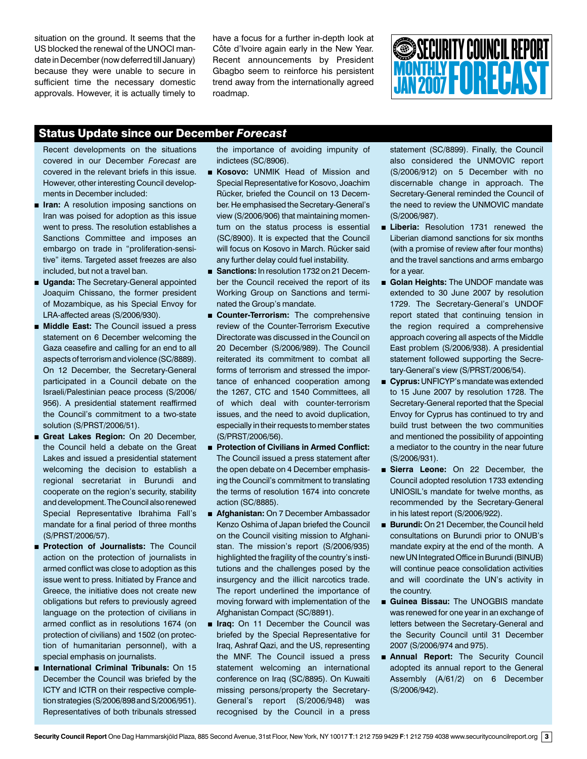situation on the ground. It seems that the US blocked the renewal of the UNOCI mandate in December (now deferred till January) because they were unable to secure in sufficient time the necessary domestic approvals. However, it is actually timely to

have a focus for a further in-depth look at Côte d'Ivoire again early in the New Year. Recent announcements by President Gbagbo seem to reinforce his persistent trend away from the internationally agreed roadmap.

# MONTHLY **FORECAST SECURITY COUNCIL REPORT**

# Status Update since our December *Forecast*

Recent developments on the situations covered in our December *Forecast* are covered in the relevant briefs in this issue. However, other interesting Council developments in December included:

- **Iran:** A resolution imposing sanctions on Iran was poised for adoption as this issue went to press. The resolution establishes a Sanctions Committee and imposes an embargo on trade in "proliferation-sensitive" items. Targeted asset freezes are also included, but not a travel ban.
- **Uganda:** The Secretary-General appointed Joaquim Chissano, the former president of Mozambique, as his Special Envoy for LRA-affected areas (S/2006/930).
- **Middle East:** The Council issued a press statement on 6 December welcoming the Gaza ceasefire and calling for an end to all aspects of terrorism and violence (SC/8889). On 12 December, the Secretary-General participated in a Council debate on the Israeli/Palestinian peace process (S/2006/ 956). A presidential statement reaffirmed the Council's commitment to a two-state solution (S/PRST/2006/51).
- Great Lakes Region: On 20 December, the Council held a debate on the Great Lakes and issued a presidential statement welcoming the decision to establish a regional secretariat in Burundi and cooperate on the region's security, stability and development. The Council also renewed Special Representative Ibrahima Fall's mandate for a final period of three months (S/PRST/2006/57).
- n **Protection of Journalists:** The Council action on the protection of journalists in armed conflict was close to adoption as this issue went to press. Initiated by France and Greece, the initiative does not create new obligations but refers to previously agreed language on the protection of civilians in armed conflict as in resolutions 1674 (on protection of civilians) and 1502 (on protection of humanitarian personnel), with a special emphasis on journalists.
- **International Criminal Tribunals: On 15** December the Council was briefed by the ICTY and ICTR on their respective completion strategies (S/2006/898 and S/2006/951). Representatives of both tribunals stressed

the importance of avoiding impunity of indictees (SC/8906).

- **E Kosovo:** UNMIK Head of Mission and Special Representative for Kosovo, Joachim Rücker, briefed the Council on 13 December. He emphasised the Secretary-General's view (S/2006/906) that maintaining momentum on the status process is essential (SC/8900). It is expected that the Council will focus on Kosovo in March. Rücker said any further delay could fuel instability.
- **Sanctions:** In resolution 1732 on 21 December the Council received the report of its Working Group on Sanctions and terminated the Group's mandate.
- **E** Counter-Terrorism: The comprehensive review of the Counter-Terrorism Executive Directorate was discussed in the Council on 20 December (S/2006/989). The Council reiterated its commitment to combat all forms of terrorism and stressed the importance of enhanced cooperation among the 1267, CTC and 1540 Committees, all of which deal with counter-terrorism issues, and the need to avoid duplication, especially in their requests to member states (S/PRST/2006/56).
- Protection of Civilians in Armed Conflict: The Council issued a press statement after the open debate on 4 December emphasising the Council's commitment to translating the terms of resolution 1674 into concrete action (SC/8885).
- **n** Afghanistan: On 7 December Ambassador Kenzo Oshima of Japan briefed the Council on the Council visiting mission to Afghanistan. The mission's report (S/2006/935) highlighted the fragility of the country's institutions and the challenges posed by the insurgency and the illicit narcotics trade. The report underlined the importance of moving forward with implementation of the Afghanistan Compact (SC/8891).
- $\blacksquare$  **Iraq:** On 11 December the Council was briefed by the Special Representative for Iraq, Ashraf Qazi, and the US, representing the MNF. The Council issued a press statement welcoming an international conference on Iraq (SC/8895). On Kuwaiti missing persons/property the Secretary-General's report (S/2006/948) was recognised by the Council in a press

statement (SC/8899). Finally, the Council also considered the UNMOVIC report (S/2006/912) on 5 December with no discernable change in approach. The Secretary-General reminded the Council of the need to review the UNMOVIC mandate (S/2006/987).

- **Eliberia:** Resolution 1731 renewed the Liberian diamond sanctions for six months (with a promise of review after four months) and the travel sanctions and arms embargo for a year.
- **n** Golan Heights: The UNDOF mandate was extended to 30 June 2007 by resolution 1729. The Secretary-General's UNDOF report stated that continuing tension in the region required a comprehensive approach covering all aspects of the Middle East problem (S/2006/938). A presidential statement followed supporting the Secretary-General's view (S/PRST/2006/54).
- **cyprus:** UNFICYP's mandate was extended to 15 June 2007 by resolution 1728. The Secretary-General reported that the Special Envoy for Cyprus has continued to try and build trust between the two communities and mentioned the possibility of appointing a mediator to the country in the near future (S/2006/931).
- **n** Sierra Leone: On 22 December, the Council adopted resolution 1733 extending UNIOSIL's mandate for twelve months, as recommended by the Secretary-General in his latest report (S/2006/922).
- **Burundi:** On 21 December, the Council held consultations on Burundi prior to ONUB's mandate expiry at the end of the month. A new UN Integrated Office in Burundi (BINUB) will continue peace consolidation activities and will coordinate the UN's activity in the country.
- Guinea Bissau: The UNOGBIS mandate was renewed for one year in an exchange of letters between the Secretary-General and the Security Council until 31 December 2007 (S/2006/974 and 975).
- **n** Annual Report: The Security Council adopted its annual report to the General Assembly (A/61/2) on 6 December (S/2006/942).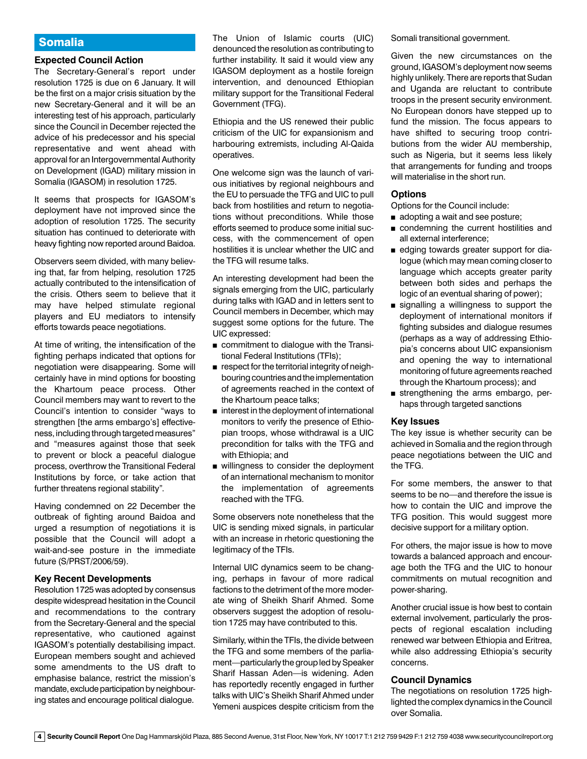# Somalia

#### **Expected Council Action**

The Secretary-General's report under resolution 1725 is due on 6 January. It will be the first on a major crisis situation by the new Secretary-General and it will be an interesting test of his approach, particularly since the Council in December rejected the advice of his predecessor and his special representative and went ahead with approval for an Intergovernmental Authority on Development (IGAD) military mission in Somalia (IGASOM) in resolution 1725.

It seems that prospects for IGASOM's deployment have not improved since the adoption of resolution 1725. The security situation has continued to deteriorate with heavy fighting now reported around Baidoa.

Observers seem divided, with many believing that, far from helping, resolution 1725 actually contributed to the intensification of the crisis. Others seem to believe that it may have helped stimulate regional players and EU mediators to intensify efforts towards peace negotiations.

At time of writing, the intensification of the fighting perhaps indicated that options for negotiation were disappearing. Some will certainly have in mind options for boosting the Khartoum peace process. Other Council members may want to revert to the Council's intention to consider "ways to strengthen [the arms embargo's] effectiveness, including through targeted measures" and "measures against those that seek to prevent or block a peaceful dialogue process, overthrow the Transitional Federal Institutions by force, or take action that further threatens regional stability".

Having condemned on 22 December the outbreak of fighting around Baidoa and urged a resumption of negotiations it is possible that the Council will adopt a wait-and-see posture in the immediate future (S/PRST/2006/59).

#### **Key Recent Developments**

Resolution 1725 was adopted by consensus despite widespread hesitation in the Council and recommendations to the contrary from the Secretary-General and the special representative, who cautioned against IGASOM's potentially destabilising impact. European members sought and achieved some amendments to the US draft to emphasise balance, restrict the mission's mandate, exclude participation by neighbouring states and encourage political dialogue.

The Union of Islamic courts (UIC) denounced the resolution as contributing to further instability. It said it would view any IGASOM deployment as a hostile foreign intervention, and denounced Ethiopian military support for the Transitional Federal Government (TFG).

Ethiopia and the US renewed their public criticism of the UIC for expansionism and harbouring extremists, including Al-Qaida operatives.

One welcome sign was the launch of various initiatives by regional neighbours and the EU to persuade the TFG and UIC to pull back from hostilities and return to negotiations without preconditions. While those efforts seemed to produce some initial success, with the commencement of open hostilities it is unclear whether the UIC and the TFG will resume talks.

An interesting development had been the signals emerging from the UIC, particularly during talks with IGAD and in letters sent to Council members in December, which may suggest some options for the future. The UIC expressed:

- **n** commitment to dialogue with the Transitional Federal Institutions (TFIs);
- $\blacksquare$  respect for the territorial integrity of neighbouring countries and the implementation of agreements reached in the context of the Khartoum peace talks;
- $\blacksquare$  interest in the deployment of international monitors to verify the presence of Ethiopian troops, whose withdrawal is a UIC precondition for talks with the TFG and with Ethiopia; and
- willingness to consider the deployment of an international mechanism to monitor the implementation of agreements reached with the TFG.

Some observers note nonetheless that the UIC is sending mixed signals, in particular with an increase in rhetoric questioning the legitimacy of the TFIs.

Internal UIC dynamics seem to be changing, perhaps in favour of more radical factions to the detriment of the more moderate wing of Sheikh Sharif Ahmed. Some observers suggest the adoption of resolution 1725 may have contributed to this.

Similarly, within the TFIs, the divide between the TFG and some members of the parliament—particularly the group led by Speaker Sharif Hassan Aden—is widening. Aden has reportedly recently engaged in further talks with UIC's Sheikh Sharif Ahmed under Yemeni auspices despite criticism from the Somali transitional government.

Given the new circumstances on the ground, IGASOM's deployment now seems highly unlikely. There are reports that Sudan and Uganda are reluctant to contribute troops in the present security environment. No European donors have stepped up to fund the mission. The focus appears to have shifted to securing troop contributions from the wider AU membership, such as Nigeria, but it seems less likely that arrangements for funding and troops will materialise in the short run.

#### **Options**

Options for the Council include:

- adopting a wait and see posture;
- **n** condemning the current hostilities and all external interference;
- edging towards greater support for dialogue (which may mean coming closer to language which accepts greater parity between both sides and perhaps the logic of an eventual sharing of power);
- signalling a willingness to support the deployment of international monitors if fighting subsides and dialogue resumes (perhaps as a way of addressing Ethiopia's concerns about UIC expansionism and opening the way to international monitoring of future agreements reached through the Khartoum process); and
- strengthening the arms embargo, perhaps through targeted sanctions

#### **Key Issues**

The key issue is whether security can be achieved in Somalia and the region through peace negotiations between the UIC and the TFG.

For some members, the answer to that seems to be no—and therefore the issue is how to contain the UIC and improve the TFG position. This would suggest more decisive support for a military option.

For others, the major issue is how to move towards a balanced approach and encourage both the TFG and the UIC to honour commitments on mutual recognition and power-sharing.

Another crucial issue is how best to contain external involvement, particularly the prospects of regional escalation including renewed war between Ethiopia and Eritrea, while also addressing Ethiopia's security concerns.

#### **Council Dynamics**

The negotiations on resolution 1725 highlighted the complex dynamics in the Council over Somalia.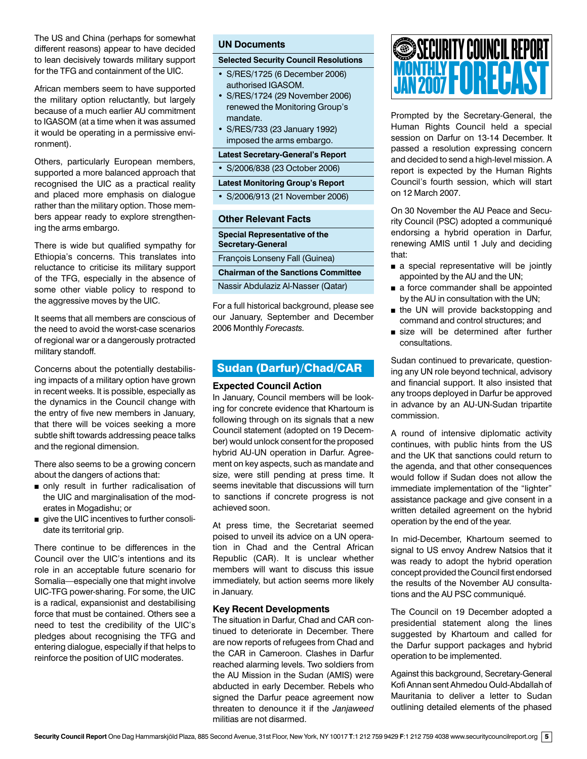The US and China (perhaps for somewhat different reasons) appear to have decided to lean decisively towards military support for the TFG and containment of the UIC.

African members seem to have supported the military option reluctantly, but largely because of a much earlier AU commitment to IGASOM (at a time when it was assumed it would be operating in a permissive environment).

Others, particularly European members, supported a more balanced approach that recognised the UIC as a practical reality and placed more emphasis on dialogue rather than the military option. Those members appear ready to explore strengthening the arms embargo.

There is wide but qualified sympathy for Ethiopia's concerns. This translates into reluctance to criticise its military support of the TFG, especially in the absence of some other viable policy to respond to the aggressive moves by the UIC.

It seems that all members are conscious of the need to avoid the worst-case scenarios of regional war or a dangerously protracted military standoff.

Concerns about the potentially destabilising impacts of a military option have grown in recent weeks. It is possible, especially as the dynamics in the Council change with the entry of five new members in January, that there will be voices seeking a more subtle shift towards addressing peace talks and the regional dimension.

There also seems to be a growing concern about the dangers of actions that:

- n only result in further radicalisation of the UIC and marginalisation of the moderates in Mogadishu; or
- give the UIC incentives to further consolidate its territorial grip.

There continue to be differences in the Council over the UIC's intentions and its role in an acceptable future scenario for Somalia—especially one that might involve UIC-TFG power-sharing. For some, the UIC is a radical, expansionist and destabilising force that must be contained. Others see a need to test the credibility of the UIC's pledges about recognising the TFG and entering dialogue, especially if that helps to reinforce the position of UIC moderates.

# **UN Documents**

#### **Selected Security Council Resolutions**

- S/RES/1725 (6 December 2006) authorised IGASOM.
- S/RES/1724 (29 November 2006) renewed the Monitoring Group's mandate.
- S/RES/733 (23 January 1992) imposed the arms embargo.

**Latest Secretary-General's Report** 

• S/2006/838 (23 October 2006)

**Latest Monitoring Group's Report** 

• S/2006/913 (21 November 2006)

#### **Other Relevant Facts**

**Special Representative of the Secretary-General** François Lonseny Fall (Guinea)

**Chairman of the Sanctions Committee** 

Nassir Abdulaziz Al-Nasser (Qatar)

For a full historical background, please see our January, September and December 2006 Monthly *Forecasts.*

# Sudan (Darfur)/Chad/CAR

#### **Expected Council Action**

In January, Council members will be looking for concrete evidence that Khartoum is following through on its signals that a new Council statement (adopted on 19 December) would unlock consent for the proposed hybrid AU-UN operation in Darfur. Agreement on key aspects, such as mandate and size, were still pending at press time. It seems inevitable that discussions will turn to sanctions if concrete progress is not achieved soon.

At press time, the Secretariat seemed poised to unveil its advice on a UN operation in Chad and the Central African Republic (CAR). It is unclear whether members will want to discuss this issue immediately, but action seems more likely in January.

#### **Key Recent Developments**

The situation in Darfur, Chad and CAR continued to deteriorate in December. There are now reports of refugees from Chad and the CAR in Cameroon. Clashes in Darfur reached alarming levels. Two soldiers from the AU Mission in the Sudan (AMIS) were abducted in early December. Rebels who signed the Darfur peace agreement now threaten to denounce it if the *Janjaweed* militias are not disarmed.

# MONTHLY **FORECAST** SECURITY COUNCIL REPORT JAN 2007

Prompted by the Secretary-General, the Human Rights Council held a special session on Darfur on 13-14 December. It passed a resolution expressing concern and decided to send a high-level mission. A report is expected by the Human Rights Council's fourth session, which will start on 12 March 2007.

On 30 November the AU Peace and Security Council (PSC) adopted a communiqué endorsing a hybrid operation in Darfur, renewing AMIS until 1 July and deciding that:

- a special representative will be jointly appointed by the AU and the UN;
- a force commander shall be appointed by the AU in consultation with the UN;
- **n** the UN will provide backstopping and command and control structures; and
- size will be determined after further consultations.

Sudan continued to prevaricate, questioning any UN role beyond technical, advisory and financial support. It also insisted that any troops deployed in Darfur be approved in advance by an AU-UN-Sudan tripartite commission.

A round of intensive diplomatic activity continues, with public hints from the US and the UK that sanctions could return to the agenda, and that other consequences would follow if Sudan does not allow the immediate implementation of the "lighter" assistance package and give consent in a written detailed agreement on the hybrid operation by the end of the year.

In mid-December, Khartoum seemed to signal to US envoy Andrew Natsios that it was ready to adopt the hybrid operation concept provided the Council first endorsed the results of the November AU consultations and the AU PSC communiqué.

The Council on 19 December adopted a presidential statement along the lines suggested by Khartoum and called for the Darfur support packages and hybrid operation to be implemented.

Against this background, Secretary-General Kofi Annan sent Ahmedou Ould-Abdallah of Mauritania to deliver a letter to Sudan outlining detailed elements of the phased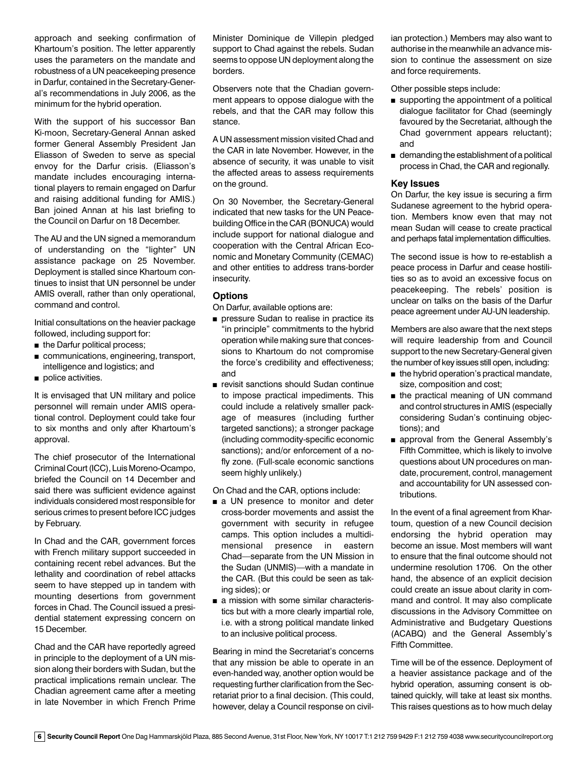approach and seeking confirmation of Khartoum's position. The letter apparently uses the parameters on the mandate and robustness of a UN peacekeeping presence in Darfur, contained in the Secretary-General's recommendations in July 2006, as the minimum for the hybrid operation.

With the support of his successor Ban Ki-moon, Secretary-General Annan asked former General Assembly President Jan Eliasson of Sweden to serve as special envoy for the Darfur crisis. (Eliasson's mandate includes encouraging international players to remain engaged on Darfur and raising additional funding for AMIS.) Ban joined Annan at his last briefing to the Council on Darfur on 18 December.

The AU and the UN signed a memorandum of understanding on the "lighter" UN assistance package on 25 November. Deployment is stalled since Khartoum continues to insist that UN personnel be under AMIS overall, rather than only operational, command and control.

Initial consultations on the heavier package followed, including support for:

- $\blacksquare$  the Darfur political process;
- $\blacksquare$  communications, engineering, transport, intelligence and logistics; and
- police activities.

It is envisaged that UN military and police personnel will remain under AMIS operational control. Deployment could take four to six months and only after Khartoum's approval.

The chief prosecutor of the International Criminal Court (ICC), Luis Moreno-Ocampo, briefed the Council on 14 December and said there was sufficient evidence against individuals considered most responsible for serious crimes to present before ICC judges by February.

In Chad and the CAR, government forces with French military support succeeded in containing recent rebel advances. But the lethality and coordination of rebel attacks seem to have stepped up in tandem with mounting desertions from government forces in Chad. The Council issued a presidential statement expressing concern on 15 December.

Chad and the CAR have reportedly agreed in principle to the deployment of a UN mission along their borders with Sudan, but the practical implications remain unclear. The Chadian agreement came after a meeting in late November in which French Prime Minister Dominique de Villepin pledged support to Chad against the rebels. Sudan seems to oppose UN deployment along the borders.

Observers note that the Chadian government appears to oppose dialogue with the rebels, and that the CAR may follow this stance.

A UN assessment mission visited Chad and the CAR in late November. However, in the absence of security, it was unable to visit the affected areas to assess requirements on the ground.

On 30 November, the Secretary-General indicated that new tasks for the UN Peacebuilding Office in the CAR (BONUCA) would include support for national dialogue and cooperation with the Central African Economic and Monetary Community (CEMAC) and other entities to address trans-border insecurity.

# **Options**

On Darfur, available options are:

- **n** pressure Sudan to realise in practice its "in principle" commitments to the hybrid operation while making sure that concessions to Khartoum do not compromise the force's credibility and effectiveness; and
- <sup>n</sup> revisit sanctions should Sudan continue to impose practical impediments. This could include a relatively smaller package of measures (including further targeted sanctions); a stronger package (including commodity-specific economic sanctions); and/or enforcement of a nofly zone. (Full-scale economic sanctions seem highly unlikely.)

On Chad and the CAR, options include:

- a UN presence to monitor and deter cross-border movements and assist the government with security in refugee camps. This option includes a multidimensional presence in eastern Chad—separate from the UN Mission in the Sudan (UNMIS)—with a mandate in the CAR. (But this could be seen as taking sides); or
- a mission with some similar characteristics but with a more clearly impartial role, i.e. with a strong political mandate linked to an inclusive political process.

Bearing in mind the Secretariat's concerns that any mission be able to operate in an even-handed way, another option would be requesting further clarification from the Secretariat prior to a final decision. (This could, however, delay a Council response on civilian protection.) Members may also want to authorise in the meanwhile an advance mission to continue the assessment on size and force requirements.

Other possible steps include:

- $\blacksquare$  supporting the appointment of a political dialogue facilitator for Chad (seemingly favoured by the Secretariat, although the Chad government appears reluctant); and
- $\blacksquare$  demanding the establishment of a political process in Chad, the CAR and regionally.

# **Key Issues**

On Darfur, the key issue is securing a firm Sudanese agreement to the hybrid operation. Members know even that may not mean Sudan will cease to create practical and perhaps fatal implementation difficulties.

The second issue is how to re-establish a peace process in Darfur and cease hostilities so as to avoid an excessive focus on peacekeeping. The rebels' position is unclear on talks on the basis of the Darfur peace agreement under AU-UN leadership.

Members are also aware that the next steps will require leadership from and Council support to the new Secretary-General given the number of key issues still open, including:

- $\blacksquare$  the hybrid operation's practical mandate, size, composition and cost;
- the practical meaning of UN command and control structures in AMIS (especially considering Sudan's continuing objections); and
- n approval from the General Assembly's Fifth Committee, which is likely to involve questions about UN procedures on mandate, procurement, control, management and accountability for UN assessed contributions.

In the event of a final agreement from Khartoum, question of a new Council decision endorsing the hybrid operation may become an issue. Most members will want to ensure that the final outcome should not undermine resolution 1706. On the other hand, the absence of an explicit decision could create an issue about clarity in command and control. It may also complicate discussions in the Advisory Committee on Administrative and Budgetary Questions (ACABQ) and the General Assembly's Fifth Committee.

Time will be of the essence. Deployment of a heavier assistance package and of the hybrid operation, assuming consent is obtained quickly, will take at least six months. This raises questions as to how much delay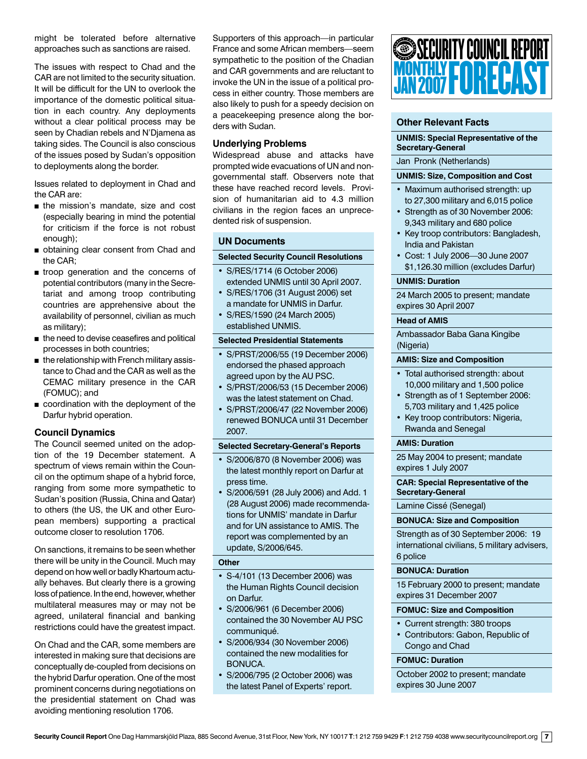might be tolerated before alternative approaches such as sanctions are raised.

The issues with respect to Chad and the CAR are not limited to the security situation. It will be difficult for the UN to overlook the importance of the domestic political situation in each country. Any deployments without a clear political process may be seen by Chadian rebels and N'Djamena as taking sides. The Council is also conscious of the issues posed by Sudan's opposition to deployments along the border.

Issues related to deployment in Chad and the CAR are:

- $n$  the mission's mandate, size and cost (especially bearing in mind the potential for criticism if the force is not robust enough);
- obtaining clear consent from Chad and the CAR;
- **n** troop generation and the concerns of potential contributors (many in the Secretariat and among troop contributing countries are apprehensive about the availability of personnel, civilian as much as military);
- $\blacksquare$  the need to devise ceasefires and political processes in both countries;
- $\blacksquare$  the relationship with French military assistance to Chad and the CAR as well as the CEMAC military presence in the CAR (FOMUC); and
- $\blacksquare$  coordination with the deployment of the Darfur hybrid operation.

# **Council Dynamics**

The Council seemed united on the adoption of the 19 December statement. A spectrum of views remain within the Council on the optimum shape of a hybrid force, ranging from some more sympathetic to Sudan's position (Russia, China and Qatar) to others (the US, the UK and other European members) supporting a practical outcome closer to resolution 1706.

On sanctions, it remains to be seen whether there will be unity in the Council. Much may depend on how well or badly Khartoum actually behaves. But clearly there is a growing loss of patience. In the end, however, whether multilateral measures may or may not be agreed, unilateral financial and banking restrictions could have the greatest impact.

On Chad and the CAR, some members are interested in making sure that decisions are conceptually de-coupled from decisions on the hybrid Darfur operation. One of the most prominent concerns during negotiations on the presidential statement on Chad was avoiding mentioning resolution 1706.

Supporters of this approach—in particular France and some African members—seem sympathetic to the position of the Chadian and CAR governments and are reluctant to invoke the UN in the issue of a political process in either country. Those members are also likely to push for a speedy decision on a peacekeeping presence along the borders with Sudan.

### **Underlying Problems**

Widespread abuse and attacks have prompted wide evacuations of UN and nongovernmental staff. Observers note that these have reached record levels. Provision of humanitarian aid to 4.3 million civilians in the region faces an unprecedented risk of suspension.

#### **UN Documents**

#### **Selected Security Council Resolutions**

- S/RES/1714 (6 October 2006)
- extended UNMIS until 30 April 2007. • S/RES/1706 (31 August 2006) set
- a mandate for UNMIS in Darfur.
- S/RES/1590 (24 March 2005) established UNMIS.

#### **Selected Presidential Statements**

- S/PRST/2006/55 (19 December 2006) endorsed the phased approach agreed upon by the AU PSC.
- S/PRST/2006/53 (15 December 2006) was the latest statement on Chad.
- S/PRST/2006/47 (22 November 2006) renewed BONUCA until 31 December 2007.

#### **Selected Secretary-General's Reports**

- S/2006/870 (8 November 2006) was the latest monthly report on Darfur at press time.
- S/2006/591 (28 July 2006) and Add. 1 (28 August 2006) made recommendations for UNMIS' mandate in Darfur and for UN assistance to AMIS. The report was complemented by an update, S/2006/645.

#### **Other**

- S-4/101 (13 December 2006) was the Human Rights Council decision on Darfur.
- S/2006/961 (6 December 2006) contained the 30 November AU PSC communiqué.
- S/2006/934 (30 November 2006) contained the new modalities for BONUCA.
- S/2006/795 (2 October 2006) was the latest Panel of Experts' report.



# **Other Relevant Facts**

#### **UNMIS: Special Representative of the Secretary-General**

#### Jan Pronk (Netherlands)

#### **UNMIS: Size, Composition and Cost**

- Maximum authorised strength: up to 27,300 military and 6,015 police
- Strength as of 30 November 2006: 9,343 military and 680 police
- Key troop contributors: Bangladesh, India and Pakistan
- Cost: 1 July 2006—30 June 2007 \$1,126.30 million (excludes Darfur)

#### **UNMIS: Duration**

24 March 2005 to present; mandate expires 30 April 2007

#### **Head of AMIS**

Ambassador Baba Gana Kingibe (Nigeria)

#### **AMIS: Size and Composition**

- Total authorised strength: about 10,000 military and 1,500 police
- Strength as of 1 September 2006: 5,703 military and 1,425 police
- Key troop contributors: Nigeria, Rwanda and Senegal

#### **AMIS: Duration**

25 May 2004 to present; mandate expires 1 July 2007

**CAR: Special Representative of the Secretary-General**

Lamine Cissé (Senegal)

#### **BONUCA: Size and Composition**

Strength as of 30 September 2006: 19 international civilians, 5 military advisers, 6 police

#### **BONUCA: Duration**

15 February 2000 to present; mandate expires 31 December 2007

#### **FOMUC: Size and Composition**

- Current strength: 380 troops
- Contributors: Gabon, Republic of Congo and Chad

#### **FOMUC: Duration**

October 2002 to present; mandate expires 30 June 2007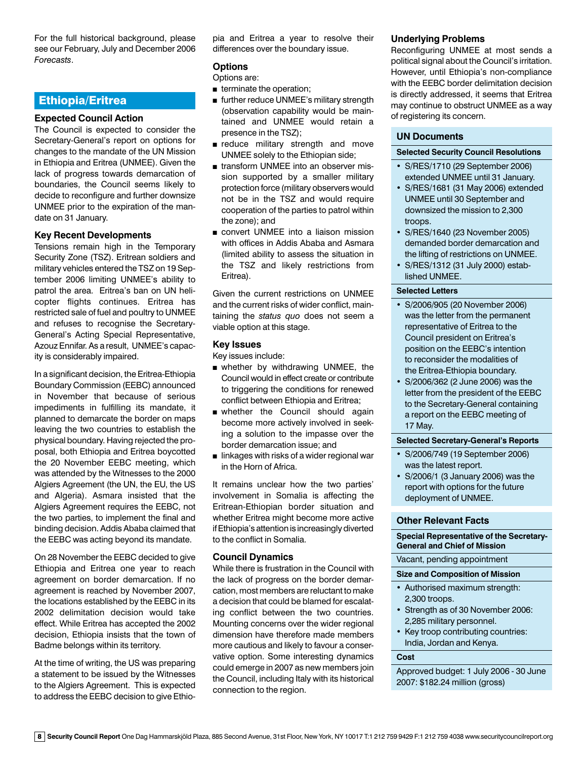For the full historical background, please see our February, July and December 2006 *Forecasts*.

# Ethiopia/Eritrea

# **Expected Council Action**

The Council is expected to consider the Secretary-General's report on options for changes to the mandate of the UN Mission in Ethiopia and Eritrea (UNMEE). Given the lack of progress towards demarcation of boundaries, the Council seems likely to decide to reconfigure and further downsize UNMEE prior to the expiration of the mandate on 31 January.

### **Key Recent Developments**

Tensions remain high in the Temporary Security Zone (TSZ). Eritrean soldiers and military vehicles entered the TSZ on 19 September 2006 limiting UNMEE's ability to patrol the area. Eritrea's ban on UN helicopter flights continues. Eritrea has restricted sale of fuel and poultry to UNMEE and refuses to recognise the Secretary-General's Acting Special Representative, Azouz Ennifar. As a result, UNMEE's capacity is considerably impaired.

In a significant decision, the Eritrea-Ethiopia Boundary Commission (EEBC) announced in November that because of serious impediments in fulfilling its mandate, it planned to demarcate the border on maps leaving the two countries to establish the physical boundary. Having rejected the proposal, both Ethiopia and Eritrea boycotted the 20 November EEBC meeting, which was attended by the Witnesses to the 2000 Algiers Agreement (the UN, the EU, the US and Algeria). Asmara insisted that the Algiers Agreement requires the EEBC, not the two parties, to implement the final and binding decision. Addis Ababa claimed that the EEBC was acting beyond its mandate.

On 28 November the EEBC decided to give Ethiopia and Eritrea one year to reach agreement on border demarcation. If no agreement is reached by November 2007, the locations established by the EEBC in its 2002 delimitation decision would take effect. While Eritrea has accepted the 2002 decision, Ethiopia insists that the town of Badme belongs within its territory.

At the time of writing, the US was preparing a statement to be issued by the Witnesses to the Algiers Agreement. This is expected to address the EEBC decision to give Ethiopia and Eritrea a year to resolve their differences over the boundary issue.

#### **Options**

#### Options are:

- $\blacksquare$  terminate the operation;
- further reduce UNMEE's military strength (observation capability would be maintained and UNMEE would retain a presence in the TSZ);
- n reduce military strength and move UNMEE solely to the Ethiopian side;
- transform UNMEE into an observer mission supported by a smaller military protection force (military observers would not be in the TSZ and would require cooperation of the parties to patrol within the zone); and
- **n** convert UNMEE into a liaison mission with offices in Addis Ababa and Asmara (limited ability to assess the situation in the TSZ and likely restrictions from Eritrea).

Given the current restrictions on UNMEE and the current risks of wider conflict, maintaining the *status quo* does not seem a viable option at this stage.

#### **Key Issues**

Key issues include:

- **n** whether by withdrawing UNMEE, the Council would in effect create or contribute to triggering the conditions for renewed conflict between Ethiopia and Eritrea;
- whether the Council should again become more actively involved in seeking a solution to the impasse over the border demarcation issue; and
- $\blacksquare$  linkages with risks of a wider regional war in the Horn of Africa.

It remains unclear how the two parties' involvement in Somalia is affecting the Eritrean-Ethiopian border situation and whether Eritrea might become more active if Ethiopia's attention is increasingly diverted to the conflict in Somalia.

#### **Council Dynamics**

While there is frustration in the Council with the lack of progress on the border demarcation, most members are reluctant to make a decision that could be blamed for escalating conflict between the two countries. Mounting concerns over the wider regional dimension have therefore made members more cautious and likely to favour a conservative option. Some interesting dynamics could emerge in 2007 as new members join the Council, including Italy with its historical connection to the region.

#### **Underlying Problems**

Reconfiguring UNMEE at most sends a political signal about the Council's irritation. However, until Ethiopia's non-compliance with the EEBC border delimitation decision is directly addressed, it seems that Eritrea may continue to obstruct UNMEE as a way of registering its concern.

#### **UN Documents**

#### **Selected Security Council Resolutions**

- S/RES/1710 (29 September 2006) extended UNMEE until 31 January.
- S/RES/1681 (31 May 2006) extended UNMEE until 30 September and downsized the mission to 2,300 troops.
- S/RES/1640 (23 November 2005) demanded border demarcation and the lifting of restrictions on UNMEE.
- S/RES/1312 (31 July 2000) established UNMEE.

#### **Selected Letters**

- S/2006/905 (20 November 2006) was the letter from the permanent representative of Eritrea to the Council president on Eritrea's position on the EEBC's intention to reconsider the modalities of the Eritrea-Ethiopia boundary.
- S/2006/362 (2 June 2006) was the letter from the president of the EEBC to the Secretary-General containing a report on the EEBC meeting of 17 May.

#### **Selected Secretary-General's Reports**

- S/2006/749 (19 September 2006) was the latest report.
- S/2006/1 (3 January 2006) was the report with options for the future deployment of UNMEE.

#### **Other Relevant Facts**

#### **Special Representative of the Secretary-General and Chief of Mission**

#### Vacant, pending appointment

#### **Size and Composition of Mission**

- Authorised maximum strength: 2,300 troops.
- Strength as of 30 November 2006: 2,285 military personnel.
- Key troop contributing countries: India, Jordan and Kenya.

#### **Cost**

Approved budget: 1 July 2006 - 30 June 2007: \$182.24 million (gross)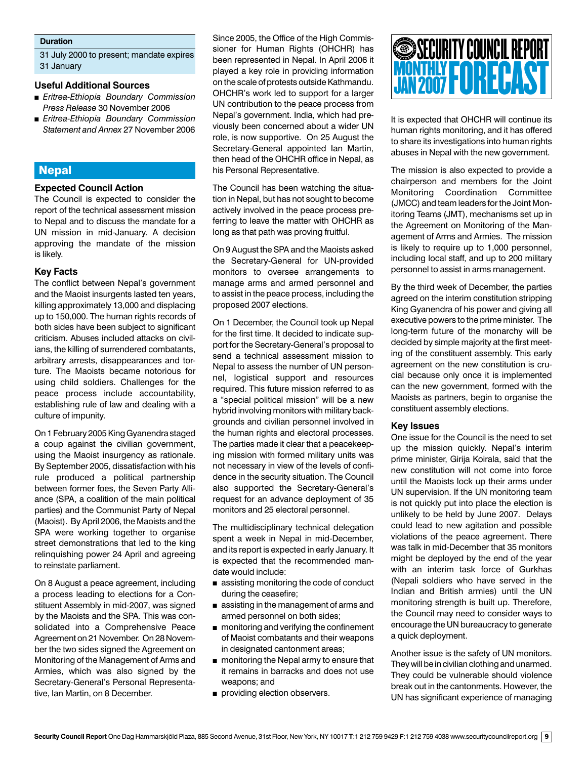#### **Duration**

31 July 2000 to present; mandate expires 31 January

#### **Useful Additional Sources**

- <sup>n</sup> *Eritrea-Ethiopia Boundary Commission Press Release* 30 November 2006
- <sup>n</sup> *Eritrea-Ethiopia Boundary Commission Statement and Annex* 27 November 2006

# **Nepal**

#### **Expected Council Action**

The Council is expected to consider the report of the technical assessment mission to Nepal and to discuss the mandate for a UN mission in mid-January. A decision approving the mandate of the mission is likely.

#### **Key Facts**

The conflict between Nepal's government and the Maoist insurgents lasted ten years, killing approximately 13,000 and displacing up to 150,000. The human rights records of both sides have been subject to significant criticism. Abuses included attacks on civilians, the killing of surrendered combatants, arbitrary arrests, disappearances and torture. The Maoists became notorious for using child soldiers. Challenges for the peace process include accountability, establishing rule of law and dealing with a culture of impunity.

On 1 February 2005 King Gyanendra staged a coup against the civilian government, using the Maoist insurgency as rationale. By September 2005, dissatisfaction with his rule produced a political partnership between former foes, the Seven Party Alliance (SPA, a coalition of the main political parties) and the Communist Party of Nepal (Maoist). By April 2006, the Maoists and the SPA were working together to organise street demonstrations that led to the king relinquishing power 24 April and agreeing to reinstate parliament.

On 8 August a peace agreement, including a process leading to elections for a Constituent Assembly in mid-2007, was signed by the Maoists and the SPA. This was consolidated into a Comprehensive Peace Agreement on 21 November. On 28 November the two sides signed the Agreement on Monitoring of the Management of Arms and Armies, which was also signed by the Secretary-General's Personal Representative, Ian Martin, on 8 December.

Since 2005, the Office of the High Commissioner for Human Rights (OHCHR) has been represented in Nepal. In April 2006 it played a key role in providing information on the scale of protests outside Kathmandu. OHCHR's work led to support for a larger UN contribution to the peace process from Nepal's government. India, which had previously been concerned about a wider UN role, is now supportive. On 25 August the Secretary-General appointed Ian Martin, then head of the OHCHR office in Nepal, as his Personal Representative.

The Council has been watching the situation in Nepal, but has not sought to become actively involved in the peace process preferring to leave the matter with OHCHR as long as that path was proving fruitful.

On 9 August the SPA and the Maoists asked the Secretary-General for UN-provided monitors to oversee arrangements to manage arms and armed personnel and to assist in the peace process, including the proposed 2007 elections.

On 1 December, the Council took up Nepal for the first time. It decided to indicate support for the Secretary-General's proposal to send a technical assessment mission to Nepal to assess the number of UN personnel, logistical support and resources required. This future mission referred to as a "special political mission" will be a new hybrid involving monitors with military backgrounds and civilian personnel involved in the human rights and electoral processes. The parties made it clear that a peacekeeping mission with formed military units was not necessary in view of the levels of confidence in the security situation. The Council also supported the Secretary-General's request for an advance deployment of 35 monitors and 25 electoral personnel.

The multidisciplinary technical delegation spent a week in Nepal in mid-December, and its report is expected in early January. It is expected that the recommended mandate would include:

- $\blacksquare$  assisting monitoring the code of conduct during the ceasefire;
- $\blacksquare$  assisting in the management of arms and armed personnel on both sides;
- **n** monitoring and verifying the confinement of Maoist combatants and their weapons in designated cantonment areas;
- **n** monitoring the Nepal army to ensure that it remains in barracks and does not use weapons; and
- providing election observers.

# MONTHLY **FORECAST** SECURITY COUNCIL REPORT JAN 2007

It is expected that OHCHR will continue its human rights monitoring, and it has offered to share its investigations into human rights abuses in Nepal with the new government.

The mission is also expected to provide a chairperson and members for the Joint Monitoring Coordination Committee (JMCC) and team leaders for the Joint Monitoring Teams (JMT), mechanisms set up in the Agreement on Monitoring of the Management of Arms and Armies. The mission is likely to require up to 1,000 personnel, including local staff, and up to 200 military personnel to assist in arms management.

By the third week of December, the parties agreed on the interim constitution stripping King Gyanendra of his power and giving all executive powers to the prime minister. The long-term future of the monarchy will be decided by simple majority at the first meeting of the constituent assembly. This early agreement on the new constitution is crucial because only once it is implemented can the new government, formed with the Maoists as partners, begin to organise the constituent assembly elections.

#### **Key Issues**

One issue for the Council is the need to set up the mission quickly. Nepal's interim prime minister, Girija Koirala, said that the new constitution will not come into force until the Maoists lock up their arms under UN supervision. If the UN monitoring team is not quickly put into place the election is unlikely to be held by June 2007. Delays could lead to new agitation and possible violations of the peace agreement. There was talk in mid-December that 35 monitors might be deployed by the end of the year with an interim task force of Gurkhas (Nepali soldiers who have served in the Indian and British armies) until the UN monitoring strength is built up. Therefore, the Council may need to consider ways to encourage the UN bureaucracy to generate a quick deployment.

Another issue is the safety of UN monitors. They will be in civilian clothing and unarmed. They could be vulnerable should violence break out in the cantonments. However, the UN has significant experience of managing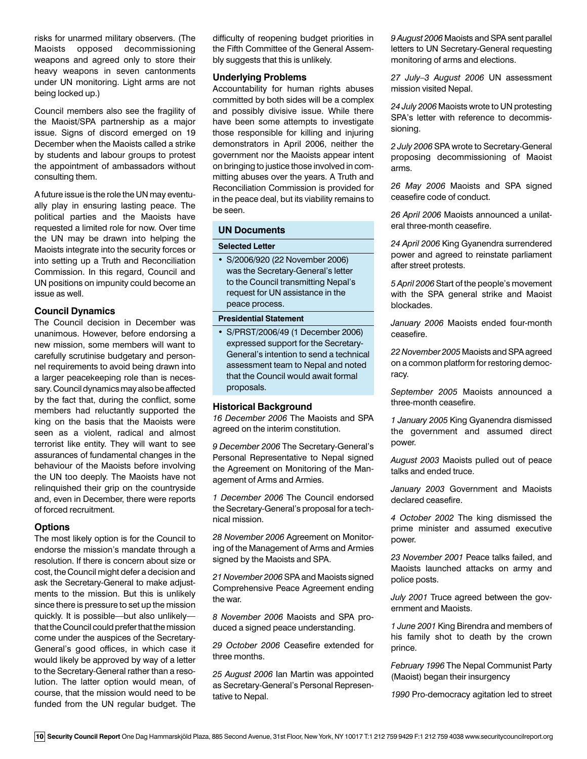risks for unarmed military observers. (The Maoists opposed decommissioning weapons and agreed only to store their heavy weapons in seven cantonments under UN monitoring. Light arms are not being locked up.)

Council members also see the fragility of the Maoist/SPA partnership as a major issue. Signs of discord emerged on 19 December when the Maoists called a strike by students and labour groups to protest the appointment of ambassadors without consulting them.

A future issue is the role the UN may eventually play in ensuring lasting peace. The political parties and the Maoists have requested a limited role for now. Over time the UN may be drawn into helping the Maoists integrate into the security forces or into setting up a Truth and Reconciliation Commission. In this regard, Council and UN positions on impunity could become an issue as well.

#### **Council Dynamics**

The Council decision in December was unanimous. However, before endorsing a new mission, some members will want to carefully scrutinise budgetary and personnel requirements to avoid being drawn into a larger peacekeeping role than is necessary. Council dynamics may also be affected by the fact that, during the conflict, some members had reluctantly supported the king on the basis that the Maoists were seen as a violent, radical and almost terrorist like entity. They will want to see assurances of fundamental changes in the behaviour of the Maoists before involving the UN too deeply. The Maoists have not relinquished their grip on the countryside and, even in December, there were reports of forced recruitment.

# **Options**

The most likely option is for the Council to endorse the mission's mandate through a resolution. If there is concern about size or cost, the Council might defer a decision and ask the Secretary-General to make adjustments to the mission. But this is unlikely since there is pressure to set up the mission quickly. It is possible—but also unlikely that the Council could prefer that the mission come under the auspices of the Secretary-General's good offices, in which case it would likely be approved by way of a letter to the Secretary-General rather than a resolution. The latter option would mean, of course, that the mission would need to be funded from the UN regular budget. The difficulty of reopening budget priorities in the Fifth Committee of the General Assembly suggests that this is unlikely.

#### **Underlying Problems**

Accountability for human rights abuses committed by both sides will be a complex and possibly divisive issue. While there have been some attempts to investigate those responsible for killing and injuring demonstrators in April 2006, neither the government nor the Maoists appear intent on bringing to justice those involved in committing abuses over the years. A Truth and Reconciliation Commission is provided for in the peace deal, but its viability remains to be seen.

#### **UN Documents**

#### **Selected Letter**

• S/2006/920 (22 November 2006) was the Secretary-General's letter to the Council transmitting Nepal's request for UN assistance in the peace process.

#### **Presidential Statement**

• S/PRST/2006/49 (1 December 2006) expressed support for the Secretary-General's intention to send a technical assessment team to Nepal and noted that the Council would await formal proposals.

# **Historical Background**

*16 December 2006* The Maoists and SPA agreed on the interim constitution.

*9 December 2006* The Secretary-General's Personal Representative to Nepal signed the Agreement on Monitoring of the Management of Arms and Armies.

*1 December 2006* The Council endorsed the Secretary-General's proposal for a technical mission.

*28 November 2006* Agreement on Monitoring of the Management of Arms and Armies signed by the Maoists and SPA.

*21 November 2006* SPA and Maoists signed Comprehensive Peace Agreement ending the war.

*8 November 2006* Maoists and SPA produced a signed peace understanding.

*29 October 2006* Ceasefire extended for three months.

*25 August 2006* Ian Martin was appointed as Secretary-General's Personal Representative to Nepal.

*9 August 2006* Maoists and SPA sent parallel letters to UN Secretary-General requesting monitoring of arms and elections.

*27 July–3 August 2006* UN assessment mission visited Nepal.

*24 July 2006* Maoists wrote to UN protesting SPA's letter with reference to decommissioning.

*2 July 2006* SPA wrote to Secretary-General proposing decommissioning of Maoist arms.

*26 May 2006* Maoists and SPA signed ceasefire code of conduct.

*26 April 2006* Maoists announced a unilateral three-month ceasefire.

*24 April 2006* King Gyanendra surrendered power and agreed to reinstate parliament after street protests.

*5 April 2006* Start of the people's movement with the SPA general strike and Maoist blockades.

*January 2006* Maoists ended four-month ceasefire.

*22 November 2005* Maoists and SPA agreed on a common platform for restoring democracy.

*September 2005* Maoists announced a three-month ceasefire.

*1 January 2005* King Gyanendra dismissed the government and assumed direct power.

*August 2003* Maoists pulled out of peace talks and ended truce.

*January 2003* Government and Maoists declared ceasefire.

*4 October 2002* The king dismissed the prime minister and assumed executive power.

*23 November 2001* Peace talks failed, and Maoists launched attacks on army and police posts.

*July 2001* Truce agreed between the government and Maoists.

*1 June 2001* King Birendra and members of his family shot to death by the crown prince.

*February 1996* The Nepal Communist Party (Maoist) began their insurgency

*1990* Pro-democracy agitation led to street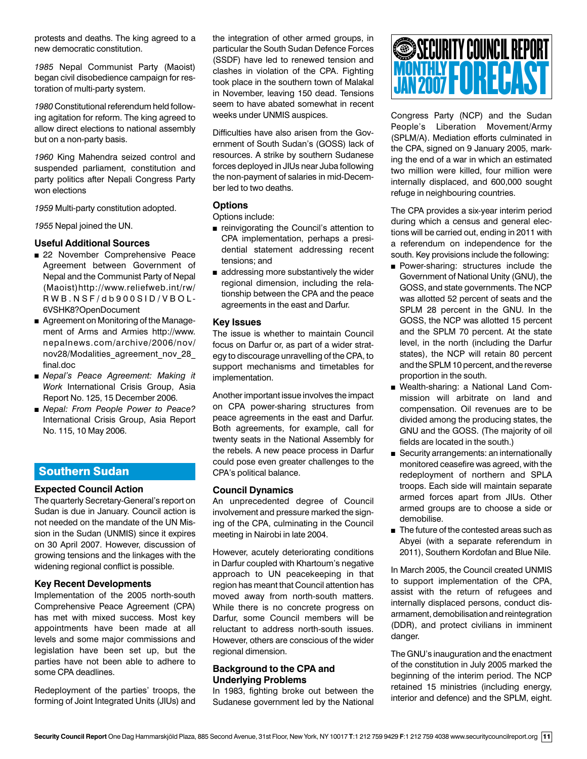protests and deaths. The king agreed to a new democratic constitution.

*1985* Nepal Communist Party (Maoist) began civil disobedience campaign for restoration of multi-party system.

*1980* Constitutional referendum held following agitation for reform. The king agreed to allow direct elections to national assembly but on a non-party basis.

*1960* King Mahendra seized control and suspended parliament, constitution and party politics after Nepali Congress Party won elections

*1959* Multi-party constitution adopted.

*1955* Nepal joined the UN.

# **Useful Additional Sources**

- 22 November Comprehensive Peace Agreement between Government of Nepal and the Communist Party of Nepal (Maoist)http://www.reliefweb.int/rw/ R W B . N S F / d b 9 0 0 S I D / V B O L - 6VSHK8?OpenDocument
- Agreement on Monitoring of the Management of Arms and Armies http://www. nepalnews.com/archive/2006/nov/ nov28/Modalities\_agreement\_nov\_28 final.doc
- *Nepal's Peace Agreement: Making it Work* International Crisis Group, Asia Report No. 125, 15 December 2006.
- <sup>n</sup> *Nepal: From People Power to Peace?* International Crisis Group, Asia Report No. 115, 10 May 2006.

# Southern Sudan

# **Expected Council Action**

The quarterly Secretary-General's report on Sudan is due in January. Council action is not needed on the mandate of the UN Mission in the Sudan (UNMIS) since it expires on 30 April 2007. However, discussion of growing tensions and the linkages with the widening regional conflict is possible.

#### **Key Recent Developments**

Implementation of the 2005 north-south Comprehensive Peace Agreement (CPA) has met with mixed success. Most key appointments have been made at all levels and some major commissions and legislation have been set up, but the parties have not been able to adhere to some CPA deadlines.

Redeployment of the parties' troops, the forming of Joint Integrated Units (JIUs) and the integration of other armed groups, in particular the South Sudan Defence Forces (SSDF) have led to renewed tension and clashes in violation of the CPA. Fighting took place in the southern town of Malakal in November, leaving 150 dead. Tensions seem to have abated somewhat in recent weeks under UNMIS auspices.

Difficulties have also arisen from the Government of South Sudan's (GOSS) lack of resources. A strike by southern Sudanese forces deployed in JIUs near Juba following the non-payment of salaries in mid-December led to two deaths.

# **Options**

Options include:

- reinvigorating the Council's attention to CPA implementation, perhaps a presidential statement addressing recent tensions; and
- $\blacksquare$  addressing more substantively the wider regional dimension, including the relationship between the CPA and the peace agreements in the east and Darfur.

#### **Key Issues**

The issue is whether to maintain Council focus on Darfur or, as part of a wider strategy to discourage unravelling of the CPA, to support mechanisms and timetables for implementation.

Another important issue involves the impact on CPA power-sharing structures from peace agreements in the east and Darfur. Both agreements, for example, call for twenty seats in the National Assembly for the rebels. A new peace process in Darfur could pose even greater challenges to the CPA's political balance.

# **Council Dynamics**

An unprecedented degree of Council involvement and pressure marked the signing of the CPA, culminating in the Council meeting in Nairobi in late 2004.

However, acutely deteriorating conditions in Darfur coupled with Khartoum's negative approach to UN peacekeeping in that region has meant that Council attention has moved away from north-south matters. While there is no concrete progress on Darfur, some Council members will be reluctant to address north-south issues. However, others are conscious of the wider regional dimension.

# **Background to the CPA and Underlying Problems**

In 1983, fighting broke out between the Sudanese government led by the National

# MONTHLY **FORECAST** SECURITY COUNCIL REPORT JAN 2007

Congress Party (NCP) and the Sudan People's Liberation Movement/Army (SPLM/A). Mediation efforts culminated in the CPA, signed on 9 January 2005, marking the end of a war in which an estimated two million were killed, four million were internally displaced, and 600,000 sought refuge in neighbouring countries.

The CPA provides a six-year interim period during which a census and general elections will be carried out, ending in 2011 with a referendum on independence for the south. Key provisions include the following:

- **Power-sharing: structures include the** Government of National Unity (GNU), the GOSS, and state governments. The NCP was allotted 52 percent of seats and the SPLM 28 percent in the GNU. In the GOSS, the NCP was allotted 15 percent and the SPLM 70 percent. At the state level, in the north (including the Darfur states), the NCP will retain 80 percent and the SPLM 10 percent, and the reverse proportion in the south.
- **Nealth-sharing: a National Land Com**mission will arbitrate on land and compensation. Oil revenues are to be divided among the producing states, the GNU and the GOSS. (The majority of oil fields are located in the south.)
- Security arrangements: an internationally monitored ceasefire was agreed, with the redeployment of northern and SPLA troops. Each side will maintain separate armed forces apart from JIUs. Other armed groups are to choose a side or demobilise.
- $\blacksquare$  The future of the contested areas such as Abyei (with a separate referendum in 2011), Southern Kordofan and Blue Nile.

In March 2005, the Council created UNMIS to support implementation of the CPA, assist with the return of refugees and internally displaced persons, conduct disarmament, demobilisation and reintegration (DDR), and protect civilians in imminent danger.

The GNU's inauguration and the enactment of the constitution in July 2005 marked the beginning of the interim period. The NCP retained 15 ministries (including energy, interior and defence) and the SPLM, eight.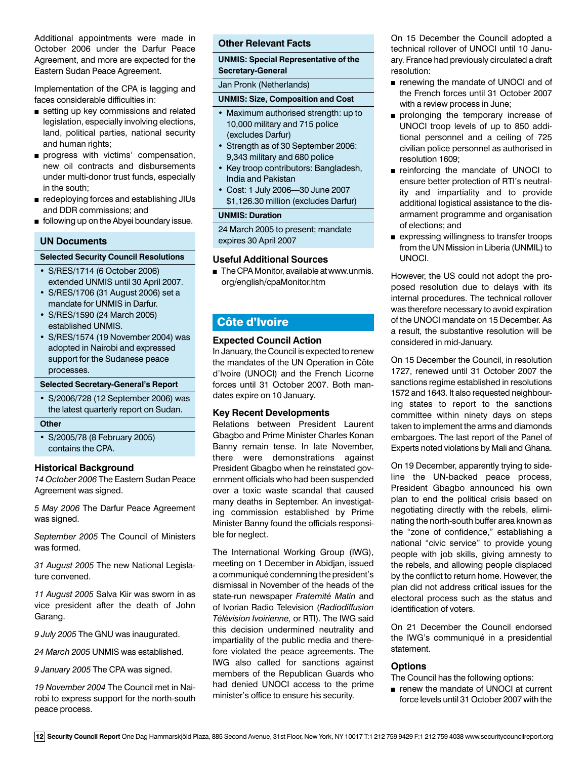Additional appointments were made in October 2006 under the Darfur Peace Agreement, and more are expected for the Eastern Sudan Peace Agreement.

Implementation of the CPA is lagging and faces considerable difficulties in:

- setting up key commissions and related legislation, especially involving elections, land, political parties, national security and human rights;
- **n** progress with victims' compensation, new oil contracts and disbursements under multi-donor trust funds, especially in the south;
- redeploying forces and establishing JIUs and DDR commissions; and
- **n** following up on the Abyei boundary issue.

#### **UN Documents**

#### **Selected Security Council Resolutions**

- S/RES/1714 (6 October 2006) extended UNMIS until 30 April 2007.
- S/RES/1706 (31 August 2006) set a mandate for UNMIS in Darfur.
- S/RES/1590 (24 March 2005) established UNMIS.
- S/RES/1574 (19 November 2004) was adopted in Nairobi and expressed support for the Sudanese peace processes.

#### **Selected Secretary-General's Report**

• S/2006/728 (12 September 2006) was the latest quarterly report on Sudan.

#### **Other**

• S/2005/78 (8 February 2005) contains the CPA.

#### **Historical Background**

*14 October 2006* The Eastern Sudan Peace Agreement was signed.

*5 May 2006* The Darfur Peace Agreement was signed.

*September 2005* The Council of Ministers was formed.

*31 August 2005* The new National Legislature convened.

*11 August 2005* Salva Kiir was sworn in as vice president after the death of John Garang.

*9 July 2005* The GNU was inaugurated.

*24 March 2005* UNMIS was established.

*9 January 2005* The CPA was signed.

*19 November 2004* The Council met in Nairobi to express support for the north-south peace process.

#### **Other Relevant Facts**

**UNMIS: Special Representative of the Secretary-General** 

Jan Pronk (Netherlands)

#### **UNMIS: Size, Composition and Cost**

- Maximum authorised strength: up to 10,000 military and 715 police (excludes Darfur)
- Strength as of 30 September 2006: 9,343 military and 680 police
- Key troop contributors: Bangladesh, India and Pakistan
- Cost: 1 July 2006—30 June 2007 \$1,126.30 million (excludes Darfur)

#### **UNMIS: Duration**

24 March 2005 to present; mandate expires 30 April 2007

#### **Useful Additional Sources**

 $\blacksquare$  The CPA Monitor, available at www.unmis. org/english/cpaMonitor.htm

# Côte d'Ivoire

#### **Expected Council Action**

In January, the Council is expected to renew the mandates of the UN Operation in Côte d'Ivoire (UNOCI) and the French Licorne forces until 31 October 2007. Both mandates expire on 10 January.

#### **Key Recent Developments**

Relations between President Laurent Gbagbo and Prime Minister Charles Konan Banny remain tense. In late November, there were demonstrations against President Gbagbo when he reinstated government officials who had been suspended over a toxic waste scandal that caused many deaths in September. An investigating commission established by Prime Minister Banny found the officials responsible for neglect.

The International Working Group (IWG), meeting on 1 December in Abidjan, issued a communiqué condemning the president's dismissal in November of the heads of the state-run newspaper *Fraternité Matin* and of Ivorian Radio Television (*Radiodiffusion Télévision Ivoirienne,* or RTI). The IWG said this decision undermined neutrality and impartiality of the public media and therefore violated the peace agreements. The IWG also called for sanctions against members of the Republican Guards who had denied UNOCI access to the prime minister's office to ensure his security.

On 15 December the Council adopted a technical rollover of UNOCI until 10 January. France had previously circulated a draft resolution:

- n renewing the mandate of UNOCI and of the French forces until 31 October 2007 with a review process in June;
- prolonging the temporary increase of UNOCI troop levels of up to 850 additional personnel and a ceiling of 725 civilian police personnel as authorised in resolution 1609;
- n reinforcing the mandate of UNOCI to ensure better protection of RTI's neutrality and impartiality and to provide additional logistical assistance to the disarmament programme and organisation of elections; and
- **Expressing willingness to transfer troops** from the UN Mission in Liberia (UNMIL) to UNOCI.

However, the US could not adopt the proposed resolution due to delays with its internal procedures. The technical rollover was therefore necessary to avoid expiration of the UNOCI mandate on 15 December. As a result, the substantive resolution will be considered in mid-January.

On 15 December the Council, in resolution 1727, renewed until 31 October 2007 the sanctions regime established in resolutions 1572 and 1643. It also requested neighbouring states to report to the sanctions committee within ninety days on steps taken to implement the arms and diamonds embargoes. The last report of the Panel of Experts noted violations by Mali and Ghana.

On 19 December, apparently trying to sideline the UN-backed peace process, President Gbagbo announced his own plan to end the political crisis based on negotiating directly with the rebels, eliminating the north-south buffer area known as the "zone of confidence," establishing a national "civic service" to provide young people with job skills, giving amnesty to the rebels, and allowing people displaced by the conflict to return home. However, the plan did not address critical issues for the electoral process such as the status and identification of voters.

On 21 December the Council endorsed the IWG's communiqué in a presidential statement.

#### **Options**

The Council has the following options:

n renew the mandate of UNOCI at current force levels until 31 October 2007 with the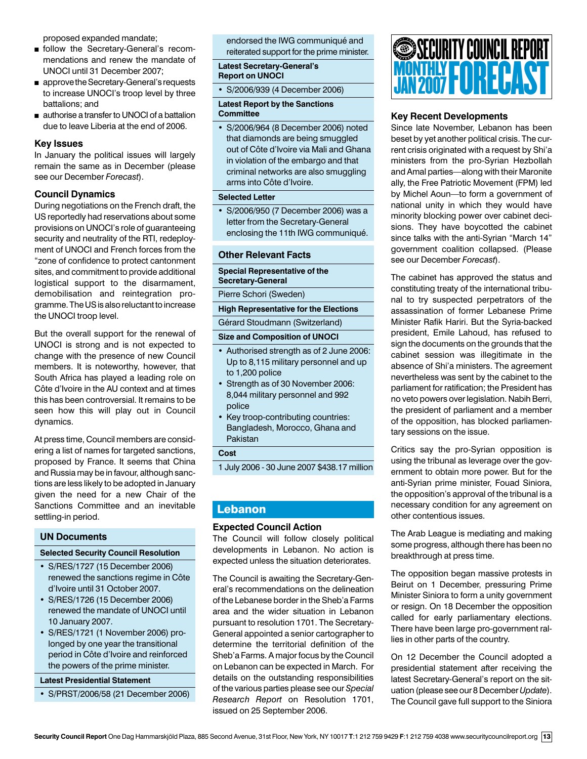proposed expanded mandate;

- <sup>n</sup> follow the Secretary-General's recommendations and renew the mandate of UNOCI until 31 December 2007;
- n approve the Secretary-General's requests to increase UNOCI's troop level by three battalions; and
- authorise a transfer to UNOCI of a battalion due to leave Liberia at the end of 2006.

#### **Key Issues**

In January the political issues will largely remain the same as in December (please see our December *Forecast*).

#### **Council Dynamics**

During negotiations on the French draft, the US reportedly had reservations about some provisions on UNOCI's role of guaranteeing security and neutrality of the RTI, redeployment of UNOCI and French forces from the "zone of confidence to protect cantonment sites, and commitment to provide additional logistical support to the disarmament, demobilisation and reintegration programme. The US is also reluctant to increase the UNOCI troop level.

But the overall support for the renewal of UNOCI is strong and is not expected to change with the presence of new Council members. It is noteworthy, however, that South Africa has played a leading role on Côte d'Ivoire in the AU context and at times this has been controversial. It remains to be seen how this will play out in Council dynamics.

At press time, Council members are considering a list of names for targeted sanctions, proposed by France. It seems that China and Russia may be in favour, although sanctions are less likely to be adopted in January given the need for a new Chair of the Sanctions Committee and an inevitable settling-in period.

#### **UN Documents**

# **Selected Security Council Resolution**

- S/RES/1727 (15 December 2006) renewed the sanctions regime in Côte d'Ivoire until 31 October 2007.
- S/RES/1726 (15 December 2006) renewed the mandate of UNOCI until 10 January 2007.
- S/RES/1721 (1 November 2006) prolonged by one year the transitional period in Côte d'Ivoire and reinforced the powers of the prime minister.

#### **Latest Presidential Statement**

• S/PRST/2006/58 (21 December 2006)

endorsed the IWG communiqué and reiterated support for the prime minister.

**Latest Secretary-General's Report on UNOCI**

• S/2006/939 (4 December 2006)

#### **Latest Report by the Sanctions Committee**

• S/2006/964 (8 December 2006) noted that diamonds are being smuggled out of Côte d'Ivoire via Mali and Ghana in violation of the embargo and that criminal networks are also smuggling arms into Côte d'Ivoire.

#### **Selected Letter**

• S/2006/950 (7 December 2006) was a letter from the Secretary-General enclosing the 11th IWG communiqué.

#### **Other Relevant Facts**

#### **Special Representative of the Secretary-General**

Pierre Schori (Sweden)

**High Representative for the Elections**

Gérard Stoudmann (Switzerland)

#### **Size and Composition of UNOCI**

- Authorised strength as of 2 June 2006: Up to 8,115 military personnel and up to 1,200 police
- Strength as of 30 November 2006: 8,044 military personnel and 992 police
- Key troop-contributing countries: Bangladesh, Morocco, Ghana and Pakistan

**Cost**

1 July 2006 - 30 June 2007 \$438.17 million

# Lebanon

#### **Expected Council Action**

The Council will follow closely political developments in Lebanon. No action is expected unless the situation deteriorates.

The Council is awaiting the Secretary-General's recommendations on the delineation of the Lebanese border in the Sheb'a Farms area and the wider situation in Lebanon pursuant to resolution 1701. The Secretary-General appointed a senior cartographer to determine the territorial definition of the Sheb'a Farms. A major focus by the Council on Lebanon can be expected in March. For details on the outstanding responsibilities of the various parties please see our *Special Research Report* on Resolution 1701, issued on 25 September 2006.



# **Key Recent Developments**

Since late November, Lebanon has been beset by yet another political crisis. The current crisis originated with a request by Shi'a ministers from the pro-Syrian Hezbollah and Amal parties—along with their Maronite ally, the Free Patriotic Movement (FPM) led by Michel Aoun—to form a government of national unity in which they would have minority blocking power over cabinet decisions. They have boycotted the cabinet since talks with the anti-Syrian "March 14" government coalition collapsed. (Please see our December *Forecast*).

The cabinet has approved the status and constituting treaty of the international tribunal to try suspected perpetrators of the assassination of former Lebanese Prime Minister Rafik Hariri. But the Syria-backed president, Emile Lahoud, has refused to sign the documents on the grounds that the cabinet session was illegitimate in the absence of Shi'a ministers. The agreement nevertheless was sent by the cabinet to the parliament for ratification; the President has no veto powers over legislation. Nabih Berri, the president of parliament and a member of the opposition, has blocked parliamentary sessions on the issue.

Critics say the pro-Syrian opposition is using the tribunal as leverage over the government to obtain more power. But for the anti-Syrian prime minister, Fouad Siniora, the opposition's approval of the tribunal is a necessary condition for any agreement on other contentious issues.

The Arab League is mediating and making some progress, although there has been no breakthrough at press time.

The opposition began massive protests in Beirut on 1 December, pressuring Prime Minister Siniora to form a unity government or resign. On 18 December the opposition called for early parliamentary elections. There have been large pro-government rallies in other parts of the country.

On 12 December the Council adopted a presidential statement after receiving the latest Secretary-General's report on the situation (please see our 8 December *Update*). The Council gave full support to the Siniora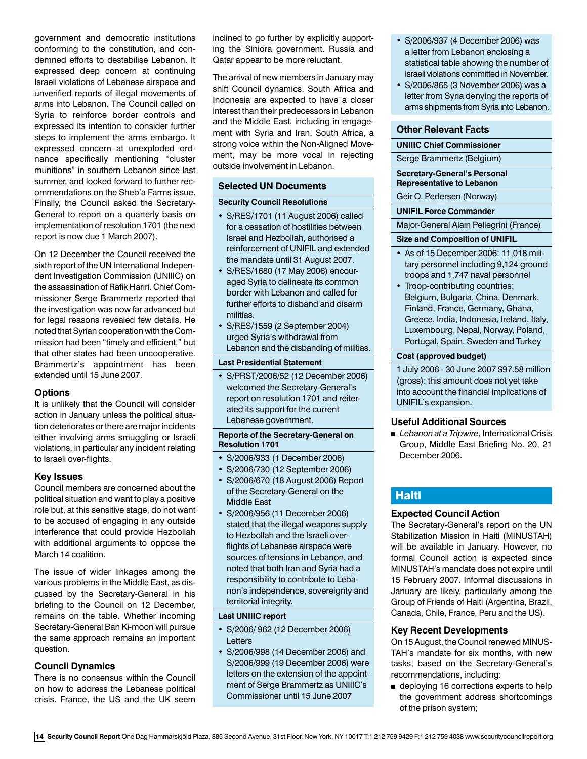government and democratic institutions conforming to the constitution, and condemned efforts to destabilise Lebanon. It expressed deep concern at continuing Israeli violations of Lebanese airspace and unverified reports of illegal movements of arms into Lebanon. The Council called on Syria to reinforce border controls and expressed its intention to consider further steps to implement the arms embargo. It expressed concern at unexploded ordnance specifically mentioning "cluster munitions" in southern Lebanon since last summer, and looked forward to further recommendations on the Sheb'a Farms issue. Finally, the Council asked the Secretary-General to report on a quarterly basis on implementation of resolution 1701 (the next report is now due 1 March 2007).

On 12 December the Council received the sixth report of the UN International Independent Investigation Commission (UNIIIC) on the assassination of Rafik Hariri. Chief Commissioner Serge Brammertz reported that the investigation was now far advanced but for legal reasons revealed few details. He noted that Syrian cooperation with the Commission had been "timely and efficient," but that other states had been uncooperative. Brammertz's appointment has been extended until 15 June 2007.

#### **Options**

It is unlikely that the Council will consider action in January unless the political situation deteriorates or there are major incidents either involving arms smuggling or Israeli violations, in particular any incident relating to Israeli over-flights.

#### **Key Issues**

Council members are concerned about the political situation and want to play a positive role but, at this sensitive stage, do not want to be accused of engaging in any outside interference that could provide Hezbollah with additional arguments to oppose the March 14 coalition.

The issue of wider linkages among the various problems in the Middle East, as discussed by the Secretary-General in his briefing to the Council on 12 December, remains on the table. Whether incoming Secretary-General Ban Ki-moon will pursue the same approach remains an important question.

#### **Council Dynamics**

There is no consensus within the Council on how to address the Lebanese political crisis. France, the US and the UK seem

inclined to go further by explicitly supporting the Siniora government. Russia and Qatar appear to be more reluctant.

The arrival of new members in January may shift Council dynamics. South Africa and Indonesia are expected to have a closer interest than their predecessors in Lebanon and the Middle East, including in engagement with Syria and Iran. South Africa, a strong voice within the Non-Aligned Movement, may be more vocal in rejecting outside involvement in Lebanon.

#### **Selected UN Documents**

#### **Security Council Resolutions**

- S/RES/1701 (11 August 2006) called for a cessation of hostilities between Israel and Hezbollah, authorised a reinforcement of UNIFIL and extended the mandate until 31 August 2007.
- S/RES/1680 (17 May 2006) encouraged Syria to delineate its common border with Lebanon and called for further efforts to disband and disarm militias.
- S/RES/1559 (2 September 2004) urged Syria's withdrawal from Lebanon and the disbanding of militias.

#### **Last Presidential Statement**

• S/PRST/2006/52 (12 December 2006) welcomed the Secretary-General's report on resolution 1701 and reiterated its support for the current Lebanese government.

#### **Reports of the Secretary-General on Resolution 1701**

- S/2006/933 (1 December 2006)
- S/2006/730 (12 September 2006)
- S/2006/670 (18 August 2006) Report of the Secretary-General on the Middle East
- S/2006/956 (11 December 2006) stated that the illegal weapons supply to Hezbollah and the Israeli overflights of Lebanese airspace were sources of tensions in Lebanon, and noted that both Iran and Syria had a responsibility to contribute to Lebanon's independence, sovereignty and territorial integrity.

### **Last UNIIIC report**

- S/2006/ 962 (12 December 2006) Letters
- S/2006/998 (14 December 2006) and S/2006/999 (19 December 2006) were letters on the extension of the appointment of Serge Brammertz as UNIIIC's Commissioner until 15 June 2007
- S/2006/937 (4 December 2006) was a letter from Lebanon enclosing a statistical table showing the number of Israeli violations committed in November.
- S/2006/865 (3 November 2006) was a letter from Syria denying the reports of arms shipments from Syria into Lebanon.

#### **Other Relevant Facts**

#### **UNIIIC Chief Commissioner**

Serge Brammertz (Belgium)

#### **Secretary-General's Personal Representative to Lebanon**

Geir O. Pedersen (Norway)

#### **UNIFIL Force Commander**

Major-General Alain Pellegrini (France)

#### **Size and Composition of UNIFIL**

- As of 15 December 2006: 11,018 military personnel including 9,124 ground troops and 1,747 naval personnel
- Troop-contributing countries: Belgium, Bulgaria, China, Denmark, Finland, France, Germany, Ghana, Greece, India, Indonesia, Ireland, Italy, Luxembourg, Nepal, Norway, Poland, Portugal, Spain, Sweden and Turkey

#### **Cost (approved budget)**

1 July 2006 - 30 June 2007 \$97.58 million (gross): this amount does not yet take into account the financial implications of UNIFIL's expansion.

#### **Useful Additional Sources**

■ *Lebanon at a Tripwire*, International Crisis Group, Middle East Briefing No. 20, 21 December 2006.

# **Haiti**

#### **Expected Council Action**

The Secretary-General's report on the UN Stabilization Mission in Haiti (MINUSTAH) will be available in January. However, no formal Council action is expected since MINUSTAH's mandate does not expire until 15 February 2007. Informal discussions in January are likely, particularly among the Group of Friends of Haiti (Argentina, Brazil, Canada, Chile, France, Peru and the US).

#### **Key Recent Developments**

On 15 August, the Council renewed MINUS-TAH's mandate for six months, with new tasks, based on the Secretary-General's recommendations, including:

■ deploying 16 corrections experts to help the government address shortcomings of the prison system;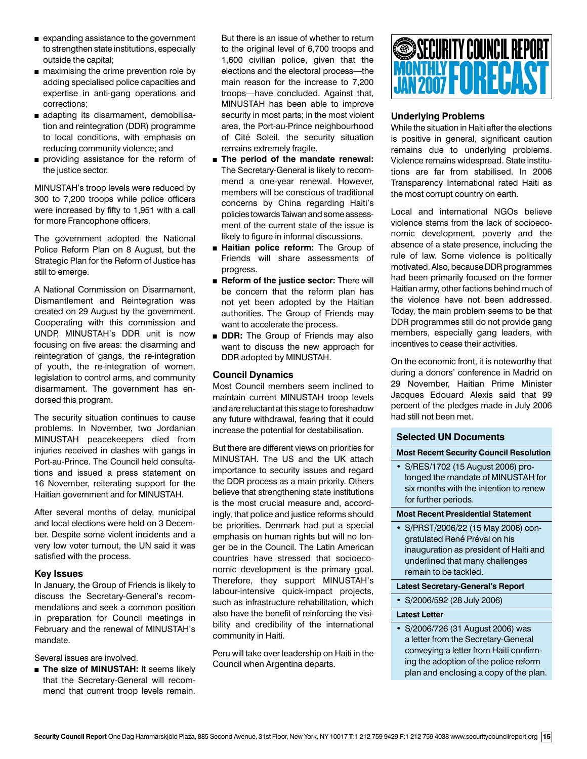- $\blacksquare$  expanding assistance to the government to strengthen state institutions, especially outside the capital;
- $\blacksquare$  maximising the crime prevention role by adding specialised police capacities and expertise in anti-gang operations and corrections;
- adapting its disarmament, demobilisation and reintegration (DDR) programme to local conditions, with emphasis on reducing community violence; and
- **n** providing assistance for the reform of the justice sector.

MINUSTAH's troop levels were reduced by 300 to 7,200 troops while police officers were increased by fifty to 1,951 with a call for more Francophone officers.

The government adopted the National Police Reform Plan on 8 August, but the Strategic Plan for the Reform of Justice has still to emerge.

A National Commission on Disarmament, Dismantlement and Reintegration was created on 29 August by the government. Cooperating with this commission and UNDP, MINUSTAH's DDR unit is now focusing on five areas: the disarming and reintegration of gangs, the re-integration of youth, the re-integration of women, legislation to control arms, and community disarmament. The government has endorsed this program.

The security situation continues to cause problems. In November, two Jordanian MINUSTAH peacekeepers died from injuries received in clashes with gangs in Port-au-Prince. The Council held consultations and issued a press statement on 16 November, reiterating support for the Haitian government and for MINUSTAH.

After several months of delay, municipal and local elections were held on 3 December. Despite some violent incidents and a very low voter turnout, the UN said it was satisfied with the process.

#### **Key Issues**

In January, the Group of Friends is likely to discuss the Secretary-General's recommendations and seek a common position in preparation for Council meetings in February and the renewal of MINUSTAH's mandate.

Several issues are involved.

**n** The size of MINUSTAH: It seems likely that the Secretary-General will recommend that current troop levels remain.

But there is an issue of whether to return to the original level of 6,700 troops and 1,600 civilian police, given that the elections and the electoral process—the main reason for the increase to 7,200 troops—have concluded. Against that, MINUSTAH has been able to improve security in most parts; in the most violent area, the Port-au-Prince neighbourhood of Cité Soleil, the security situation remains extremely fragile.

- **n** The period of the mandate renewal: The Secretary-General is likely to recommend a one-year renewal. However, members will be conscious of traditional concerns by China regarding Haiti's policies towards Taiwan and some assessment of the current state of the issue is likely to figure in informal discussions.
- **Haitian police reform:** The Group of Friends will share assessments of progress.
- **n** Reform of the justice sector: There will be concern that the reform plan has not yet been adopted by the Haitian authorities. The Group of Friends may want to accelerate the process.
- **DDR:** The Group of Friends may also want to discuss the new approach for DDR adopted by MINUSTAH.

#### **Council Dynamics**

Most Council members seem inclined to maintain current MINUSTAH troop levels and are reluctant at this stage to foreshadow any future withdrawal, fearing that it could increase the potential for destabilisation.

But there are different views on priorities for MINUSTAH. The US and the UK attach importance to security issues and regard the DDR process as a main priority. Others believe that strengthening state institutions is the most crucial measure and, accordingly, that police and justice reforms should be priorities. Denmark had put a special emphasis on human rights but will no longer be in the Council. The Latin American countries have stressed that socioeconomic development is the primary goal. Therefore, they support MINUSTAH's labour-intensive quick-impact projects, such as infrastructure rehabilitation, which also have the benefit of reinforcing the visibility and credibility of the international community in Haiti.

Peru will take over leadership on Haiti in the Council when Argentina departs.



# **Underlying Problems**

While the situation in Haiti after the elections is positive in general, significant caution remains due to underlying problems. Violence remains widespread. State institutions are far from stabilised. In 2006 Transparency International rated Haiti as the most corrupt country on earth.

Local and international NGOs believe violence stems from the lack of socioeconomic development, poverty and the absence of a state presence, including the rule of law. Some violence is politically motivated. Also, because DDR programmes had been primarily focused on the former Haitian army, other factions behind much of the violence have not been addressed. Today, the main problem seems to be that DDR programmes still do not provide gang members, especially gang leaders, with incentives to cease their activities.

On the economic front, it is noteworthy that during a donors' conference in Madrid on 29 November, Haitian Prime Minister Jacques Edouard Alexis said that 99 percent of the pledges made in July 2006 had still not been met.

# **Selected UN Documents**

**Most Recent Security Council Resolution**

• S/RES/1702 (15 August 2006) prolonged the mandate of MINUSTAH for six months with the intention to renew for further periods.

**Most Recent Presidential Statement**

• S/PRST/2006/22 (15 May 2006) congratulated René Préval on his inauguration as president of Haiti and underlined that many challenges remain to be tackled.

**Latest Secretary-General's Report**

• S/2006/592 (28 July 2006)

#### **Latest Letter**

• S/2006/726 (31 August 2006) was a letter from the Secretary-General conveying a letter from Haiti confirming the adoption of the police reform plan and enclosing a copy of the plan.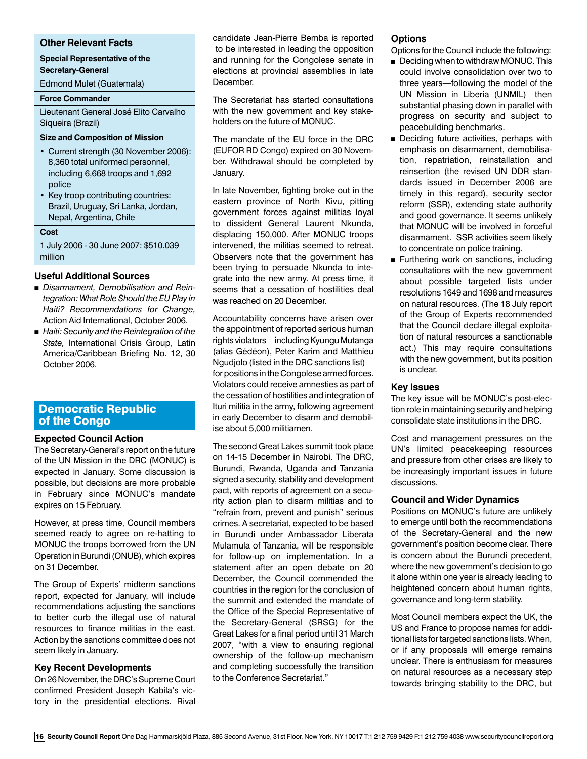#### **Other Relevant Facts**

**Special Representative of the Secretary-General**

Edmond Mulet (Guatemala)

#### **Force Commander**

Lieutenant General José Elito Carvalho Siqueira (Brazil)

# **Size and Composition of Mission**

- Current strength (30 November 2006): 8,360 total uniformed personnel, including 6,668 troops and 1,692 police
- Key troop contributing countries: Brazil, Uruguay, Sri Lanka, Jordan, Nepal, Argentina, Chile

#### **Cost**

1 July 2006 - 30 June 2007: \$510.039 million

#### **Useful Additional Sources**

- <sup>n</sup> *Disarmament, Demobilisation and Reintegration: What Role Should the EU Play in Haiti? Recommendations for Change,*  Action Aid International, October 2006.
- *Haiti: Security and the Reintegration of the State,* International Crisis Group, Latin America/Caribbean Briefing No. 12, 30 October 2006.

# Democratic Republic of the Congo

### **Expected Council Action**

The Secretary-General's report on the future of the UN Mission in the DRC (MONUC) is expected in January. Some discussion is possible, but decisions are more probable in February since MONUC's mandate expires on 15 February.

However, at press time, Council members seemed ready to agree on re-hatting to MONUC the troops borrowed from the UN Operation in Burundi (ONUB), which expires on 31 December.

The Group of Experts' midterm sanctions report, expected for January, will include recommendations adjusting the sanctions to better curb the illegal use of natural resources to finance militias in the east. Action by the sanctions committee does not seem likely in January.

#### **Key Recent Developments**

On 26 November, the DRC's Supreme Court confirmed President Joseph Kabila's victory in the presidential elections. Rival candidate Jean-Pierre Bemba is reported to be interested in leading the opposition and running for the Congolese senate in elections at provincial assemblies in late December.

The Secretariat has started consultations with the new government and key stakeholders on the future of MONUC.

The mandate of the EU force in the DRC (EUFOR RD Congo) expired on 30 November. Withdrawal should be completed by January.

In late November, fighting broke out in the eastern province of North Kivu, pitting government forces against militias loyal to dissident General Laurent Nkunda, displacing 150,000. After MONUC troops intervened, the militias seemed to retreat. Observers note that the government has been trying to persuade Nkunda to integrate into the new army. At press time, it seems that a cessation of hostilities deal was reached on 20 December.

Accountability concerns have arisen over the appointment of reported serious human rights violators—including Kyungu Mutanga (alias Gédéon), Peter Karim and Matthieu Ngudjolo (listed in the DRC sanctions list) for positions in the Congolese armed forces. Violators could receive amnesties as part of the cessation of hostilities and integration of Ituri militia in the army, following agreement in early December to disarm and demobilise about 5,000 militiamen.

The second Great Lakes summit took place on 14-15 December in Nairobi. The DRC, Burundi, Rwanda, Uganda and Tanzania signed a security, stability and development pact, with reports of agreement on a security action plan to disarm militias and to "refrain from, prevent and punish" serious crimes. A secretariat, expected to be based in Burundi under Ambassador Liberata Mulamula of Tanzania, will be responsible for follow-up on implementation. In a statement after an open debate on 20 December, the Council commended the countries in the region for the conclusion of the summit and extended the mandate of the Office of the Special Representative of the Secretary-General (SRSG) for the Great Lakes for a final period until 31 March 2007, "with a view to ensuring regional ownership of the follow-up mechanism and completing successfully the transition to the Conference Secretariat."

#### **Options**

Options for the Council include the following:

- Deciding when to withdraw MONUC. This could involve consolidation over two to three years—following the model of the UN Mission in Liberia (UNMIL)—then substantial phasing down in parallel with progress on security and subject to peacebuilding benchmarks.
- **Deciding future activities, perhaps with** emphasis on disarmament, demobilisation, repatriation, reinstallation and reinsertion (the revised UN DDR standards issued in December 2006 are timely in this regard), security sector reform (SSR), extending state authority and good governance. It seems unlikely that MONUC will be involved in forceful disarmament. SSR activities seem likely to concentrate on police training.
- **Furthering work on sanctions, including** consultations with the new government about possible targeted lists under resolutions 1649 and 1698 and measures on natural resources. (The 18 July report of the Group of Experts recommended that the Council declare illegal exploitation of natural resources a sanctionable act.) This may require consultations with the new government, but its position is unclear.

#### **Key Issues**

The key issue will be MONUC's post-election role in maintaining security and helping consolidate state institutions in the DRC.

Cost and management pressures on the UN's limited peacekeeping resources and pressure from other crises are likely to be increasingly important issues in future discussions.

#### **Council and Wider Dynamics**

Positions on MONUC's future are unlikely to emerge until both the recommendations of the Secretary-General and the new government's position become clear. There is concern about the Burundi precedent, where the new government's decision to go it alone within one year is already leading to heightened concern about human rights, governance and long-term stability.

Most Council members expect the UK, the US and France to propose names for additional lists for targeted sanctions lists. When, or if any proposals will emerge remains unclear. There is enthusiasm for measures on natural resources as a necessary step towards bringing stability to the DRC, but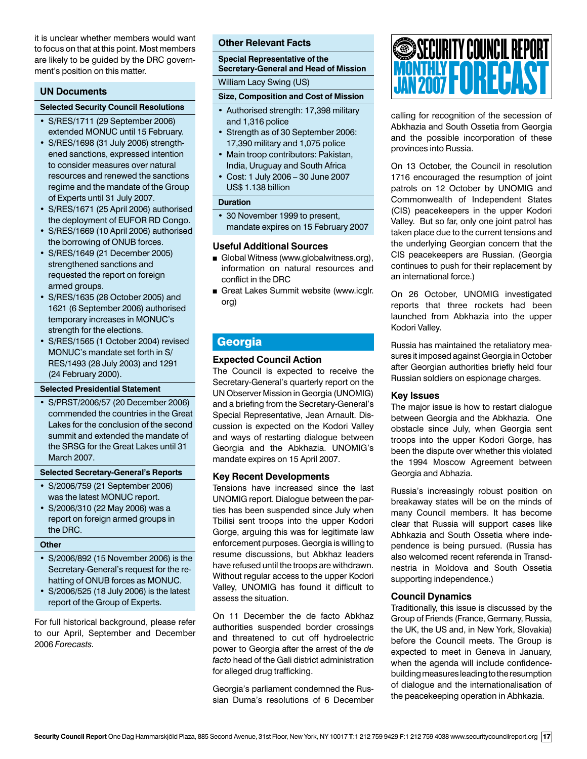it is unclear whether members would want to focus on that at this point. Most members are likely to be guided by the DRC government's position on this matter.

### **UN Documents**

#### **Selected Security Council Resolutions**

- S/RES/1711 (29 September 2006) extended MONUC until 15 February.
- S/RES/1698 (31 July 2006) strengthened sanctions, expressed intention to consider measures over natural resources and renewed the sanctions regime and the mandate of the Group of Experts until 31 July 2007.
- S/RES/1671 (25 April 2006) authorised the deployment of EUFOR RD Congo.
- S/RES/1669 (10 April 2006) authorised the borrowing of ONUB forces.
- S/RES/1649 (21 December 2005) strengthened sanctions and requested the report on foreign armed groups.
- S/RES/1635 (28 October 2005) and 1621 (6 September 2006) authorised temporary increases in MONUC's strength for the elections.
- S/RES/1565 (1 October 2004) revised MONUC's mandate set forth in S/ RES/1493 (28 July 2003) and 1291 (24 February 2000).

#### **Selected Presidential Statement**

• S/PRST/2006/57 (20 December 2006) commended the countries in the Great Lakes for the conclusion of the second summit and extended the mandate of the SRSG for the Great Lakes until 31 March 2007.

# **Selected Secretary-General's Reports**

- S/2006/759 (21 September 2006) was the latest MONUC report.
- S/2006/310 (22 May 2006) was a report on foreign armed groups in the DRC.

#### **Other**

- S/2006/892 (15 November 2006) is the Secretary-General's request for the rehatting of ONUB forces as MONUC.
- S/2006/525 (18 July 2006) is the latest report of the Group of Experts.

For full historical background, please refer to our April, September and December 2006 *Forecasts.*

#### **Other Relevant Facts**

**Special Representative of the Secretary-General and Head of Mission**

William Lacy Swing (US)

#### **Size, Composition and Cost of Mission**

- Authorised strength: 17,398 military and 1,316 police
- Strength as of 30 September 2006: 17,390 military and 1,075 police
- Main troop contributors: Pakistan, India, Uruguay and South Africa
- Cost: 1 July 2006 30 June 2007 US\$ 1.138 billion

#### **Duration**

• 30 November 1999 to present, mandate expires on 15 February 2007

#### **Useful Additional Sources**

- Global Witness (www.globalwitness.org), information on natural resources and conflict in the DRC
- Great Lakes Summit website (www.icglr. org)

# Georgia

#### **Expected Council Action**

The Council is expected to receive the Secretary-General's quarterly report on the UN Observer Mission in Georgia (UNOMIG) and a briefing from the Secretary-General's Special Representative, Jean Arnault. Discussion is expected on the Kodori Valley and ways of restarting dialogue between Georgia and the Abkhazia. UNOMIG's mandate expires on 15 April 2007.

#### **Key Recent Developments**

Tensions have increased since the last UNOMIG report. Dialogue between the parties has been suspended since July when Tbilisi sent troops into the upper Kodori Gorge, arguing this was for legitimate law enforcement purposes. Georgia is willing to resume discussions, but Abkhaz leaders have refused until the troops are withdrawn. Without regular access to the upper Kodori Valley, UNOMIG has found it difficult to assess the situation.

On 11 December the de facto Abkhaz authorities suspended border crossings and threatened to cut off hydroelectric power to Georgia after the arrest of the *de facto* head of the Gali district administration for alleged drug trafficking.

Georgia's parliament condemned the Russian Duma's resolutions of 6 December



calling for recognition of the secession of Abkhazia and South Ossetia from Georgia and the possible incorporation of these provinces into Russia.

On 13 October, the Council in resolution 1716 encouraged the resumption of joint patrols on 12 October by UNOMIG and Commonwealth of Independent States (CIS) peacekeepers in the upper Kodori Valley. But so far, only one joint patrol has taken place due to the current tensions and the underlying Georgian concern that the CIS peacekeepers are Russian. (Georgia continues to push for their replacement by an international force.)

On 26 October, UNOMIG investigated reports that three rockets had been launched from Abkhazia into the upper Kodori Valley.

Russia has maintained the retaliatory measures it imposed against Georgia in October after Georgian authorities briefly held four Russian soldiers on espionage charges.

#### **Key Issues**

The major issue is how to restart dialogue between Georgia and the Abkhazia. One obstacle since July, when Georgia sent troops into the upper Kodori Gorge, has been the dispute over whether this violated the 1994 Moscow Agreement between Georgia and Abhazia.

Russia's increasingly robust position on breakaway states will be on the minds of many Council members. It has become clear that Russia will support cases like Abhkazia and South Ossetia where independence is being pursued. (Russia has also welcomed recent referenda in Transdnestria in Moldova and South Ossetia supporting independence.)

# **Council Dynamics**

Traditionally, this issue is discussed by the Group of Friends (France, Germany, Russia, the UK, the US and, in New York, Slovakia) before the Council meets. The Group is expected to meet in Geneva in January, when the agenda will include confidencebuilding measures leading to the resumption of dialogue and the internationalisation of the peacekeeping operation in Abhkazia.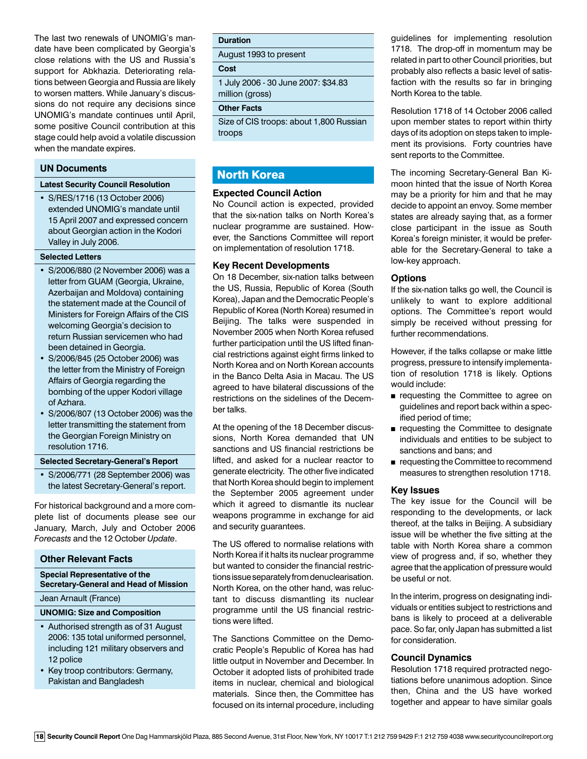The last two renewals of UNOMIG's mandate have been complicated by Georgia's close relations with the US and Russia's support for Abkhazia. Deteriorating relations between Georgia and Russia are likely to worsen matters. While January's discussions do not require any decisions since UNOMIG's mandate continues until April, some positive Council contribution at this stage could help avoid a volatile discussion when the mandate expires.

#### **UN Documents**

#### **Latest Security Council Resolution**

• S/RES/1716 (13 October 2006) extended UNOMIG's mandate until 15 April 2007 and expressed concern about Georgian action in the Kodori Valley in July 2006.

#### **Selected Letters**

- S/2006/880 (2 November 2006) was a letter from GUAM (Georgia, Ukraine, Azerbaijan and Moldova) containing the statement made at the Council of Ministers for Foreign Affairs of the CIS welcoming Georgia's decision to return Russian servicemen who had been detained in Georgia.
- S/2006/845 (25 October 2006) was the letter from the Ministry of Foreign Affairs of Georgia regarding the bombing of the upper Kodori village of Azhara.
- S/2006/807 (13 October 2006) was the letter transmitting the statement from the Georgian Foreign Ministry on resolution 1716.

#### **Selected Secretary-General's Report**

• S/2006/771 (28 September 2006) was the latest Secretary-General's report.

For historical background and a more complete list of documents please see our January, March, July and October 2006 *Forecasts* and the 12 October *Update*.

#### **Other Relevant Facts**

#### **Special Representative of the Secretary-General and Head of Mission**

Jean Arnault (France)

#### **UNOMIG: Size and Composition**

- Authorised strength as of 31 August 2006: 135 total uniformed personnel, including 121 military observers and 12 police
- Key troop contributors: Germany, Pakistan and Bangladesh

#### **Duration**

August 1993 to present

### **Cost**

1 July 2006 - 30 June 2007: \$34.83 million (gross)

# **Other Facts**

Size of CIS troops: about 1,800 Russian troops

# North Korea

#### **Expected Council Action**

No Council action is expected, provided that the six-nation talks on North Korea's nuclear programme are sustained. However, the Sanctions Committee will report on implementation of resolution 1718.

#### **Key Recent Developments**

On 18 December, six-nation talks between the US, Russia, Republic of Korea (South Korea), Japan and the Democratic People's Republic of Korea (North Korea) resumed in Beijing. The talks were suspended in November 2005 when North Korea refused further participation until the US lifted financial restrictions against eight firms linked to North Korea and on North Korean accounts in the Banco Delta Asia in Macau. The US agreed to have bilateral discussions of the restrictions on the sidelines of the December talks.

At the opening of the 18 December discussions, North Korea demanded that UN sanctions and US financial restrictions be lifted, and asked for a nuclear reactor to generate electricity. The other five indicated that North Korea should begin to implement the September 2005 agreement under which it agreed to dismantle its nuclear weapons programme in exchange for aid and security guarantees.

The US offered to normalise relations with North Korea if it halts its nuclear programme but wanted to consider the financial restrictions issue separately from denuclearisation. North Korea, on the other hand, was reluctant to discuss dismantling its nuclear programme until the US financial restrictions were lifted.

The Sanctions Committee on the Democratic People's Republic of Korea has had little output in November and December. In October it adopted lists of prohibited trade items in nuclear, chemical and biological materials. Since then, the Committee has focused on its internal procedure, including guidelines for implementing resolution 1718. The drop-off in momentum may be related in part to other Council priorities, but probably also reflects a basic level of satisfaction with the results so far in bringing North Korea to the table.

Resolution 1718 of 14 October 2006 called upon member states to report within thirty days of its adoption on steps taken to implement its provisions. Forty countries have sent reports to the Committee.

The incoming Secretary-General Ban Kimoon hinted that the issue of North Korea may be a priority for him and that he may decide to appoint an envoy. Some member states are already saying that, as a former close participant in the issue as South Korea's foreign minister, it would be preferable for the Secretary-General to take a low-key approach.

#### **Options**

If the six-nation talks go well, the Council is unlikely to want to explore additional options. The Committee's report would simply be received without pressing for further recommendations.

However, if the talks collapse or make little progress, pressure to intensify implementation of resolution 1718 is likely. Options would include:

- **n** requesting the Committee to agree on guidelines and report back within a specified period of time;
- **n** requesting the Committee to designate individuals and entities to be subject to sanctions and bans; and
- n requesting the Committee to recommend measures to strengthen resolution 1718.

#### **Key Issues**

The key issue for the Council will be responding to the developments, or lack thereof, at the talks in Beijing. A subsidiary issue will be whether the five sitting at the table with North Korea share a common view of progress and, if so, whether they agree that the application of pressure would be useful or not.

In the interim, progress on designating individuals or entities subject to restrictions and bans is likely to proceed at a deliverable pace. So far, only Japan has submitted a list for consideration.

#### **Council Dynamics**

Resolution 1718 required protracted negotiations before unanimous adoption. Since then, China and the US have worked together and appear to have similar goals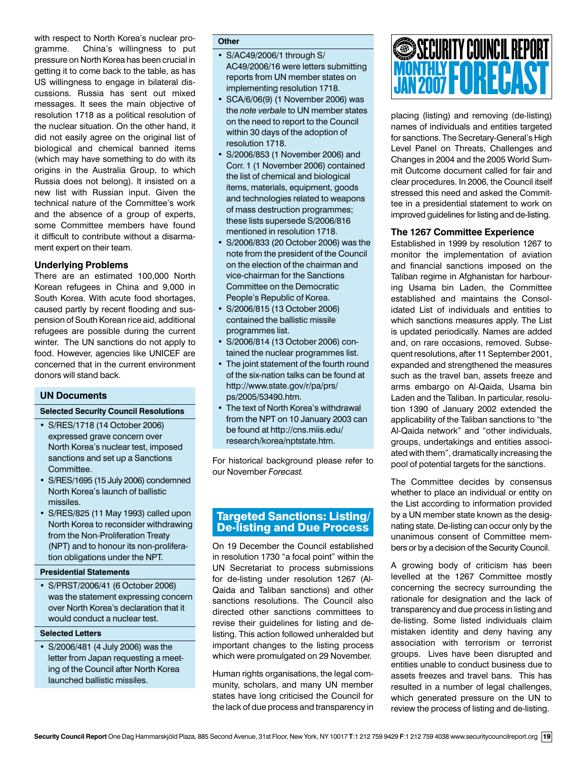with respect to North Korea's nuclear programme. China's willingness to put pressure on North Korea has been crucial in getting it to come back to the table, as has US willingness to engage in bilateral discussions. Russia has sent out mixed messages. It sees the main objective of resolution 1718 as a political resolution of the nuclear situation. On the other hand, it did not easily agree on the original list of biological and chemical banned items (which may have something to do with its origins in the Australia Group, to which Russia does not belong). It insisted on a new list with Russian input. Given the technical nature of the Committee's work and the absence of a group of experts, some Committee members have found it difficult to contribute without a disarmament expert on their team.

#### **Underlying Problems**

There are an estimated 100,000 North Korean refugees in China and 9,000 in South Korea. With acute food shortages, caused partly by recent flooding and suspension of South Korean rice aid, additional refugees are possible during the current winter. The UN sanctions do not apply to food. However, agencies like UNICEF are concerned that in the current environment donors will stand back.

# **UN Documents**

#### **Selected Security Council Resolutions**

- S/RES/1718 (14 October 2006) expressed grave concern over North Korea's nuclear test, imposed sanctions and set up a Sanctions Committee.
- S/RES/1695 (15 July 2006) condemned North Korea's launch of ballistic missiles.
- S/RES/825 (11 May 1993) called upon North Korea to reconsider withdrawing from the Non-Proliferation Treaty (NPT) and to honour its non-proliferation obligations under the NPT.

#### **Presidential Statements**

• S/PRST/2006/41 (6 October 2006) was the statement expressing concern over North Korea's declaration that it would conduct a nuclear test.

#### **Selected Letters**

• S/2006/481 (4 July 2006) was the letter from Japan requesting a meeting of the Council after North Korea launched ballistic missiles.

#### **Other**

- S/AC49/2006/1 through S/ AC49/2006/16 were letters submitting reports from UN member states on implementing resolution 1718.
- SCA/6/06(9) (1 November 2006) was the *note verbale* to UN member states on the need to report to the Council within 30 days of the adoption of resolution 1718.
- S/2006/853 (1 November 2006) and Corr. 1 (1 November 2006) contained the list of chemical and biological items, materials, equipment, goods and technologies related to weapons of mass destruction programmes; these lists supersede S/2006/816 mentioned in resolution 1718.
- S/2006/833 (20 October 2006) was the note from the president of the Council on the election of the chairman and vice-chairman for the Sanctions Committee on the Democratic People's Republic of Korea.
- S/2006/815 (13 October 2006) contained the ballistic missile programmes list.
- S/2006/814 (13 October 2006) contained the nuclear programmes list.
- The joint statement of the fourth round of the six-nation talks can be found at http://www.state.gov/r/pa/prs/ ps/2005/53490.htm.
- The text of North Korea's withdrawal from the NPT on 10 January 2003 can be found at http://cns.miis.edu/ research/korea/nptstate.htm.

For historical background please refer to our November *Forecast.* 

# Targeted Sanctions: Listing/ De-listing and Due Process

On 19 December the Council established in resolution 1730 "a focal point" within the UN Secretariat to process submissions for de-listing under resolution 1267 (Al-Qaida and Taliban sanctions) and other sanctions resolutions. The Council also directed other sanctions committees to revise their guidelines for listing and delisting. This action followed unheralded but important changes to the listing process which were promulgated on 29 November.

Human rights organisations, the legal community, scholars, and many UN member states have long criticised the Council for the lack of due process and transparency in

# MONTHLY **FORECAST** SECURITY COUNCIL REPORT JAN 2007

placing (listing) and removing (de-listing) names of individuals and entities targeted for sanctions. The Secretary-General's High Level Panel on Threats, Challenges and Changes in 2004 and the 2005 World Summit Outcome document called for fair and clear procedures. In 2006, the Council itself stressed this need and asked the Committee in a presidential statement to work on improved guidelines for listing and de-listing.

# **The 1267 Committee Experience**

Established in 1999 by resolution 1267 to monitor the implementation of aviation and financial sanctions imposed on the Taliban regime in Afghanistan for harbouring Usama bin Laden, the Committee established and maintains the Consolidated List of individuals and entities to which sanctions measures apply. The List is updated periodically. Names are added and, on rare occasions, removed. Subsequent resolutions, after 11 September 2001, expanded and strengthened the measures such as the travel ban, assets freeze and arms embargo on Al-Qaida, Usama bin Laden and the Taliban. In particular, resolution 1390 of January 2002 extended the applicability of the Taliban sanctions to "the Al-Qaida network" and "other individuals, groups, undertakings and entities associated with them", dramatically increasing the pool of potential targets for the sanctions.

The Committee decides by consensus whether to place an individual or entity on the List according to information provided by a UN member state known as the designating state. De-listing can occur only by the unanimous consent of Committee members or by a decision of the Security Council.

A growing body of criticism has been levelled at the 1267 Committee mostly concerning the secrecy surrounding the rationale for designation and the lack of transparency and due process in listing and de-listing. Some listed individuals claim mistaken identity and deny having any association with terrorism or terrorist groups. Lives have been disrupted and entities unable to conduct business due to assets freezes and travel bans. This has resulted in a number of legal challenges, which generated pressure on the UN to review the process of listing and de-listing.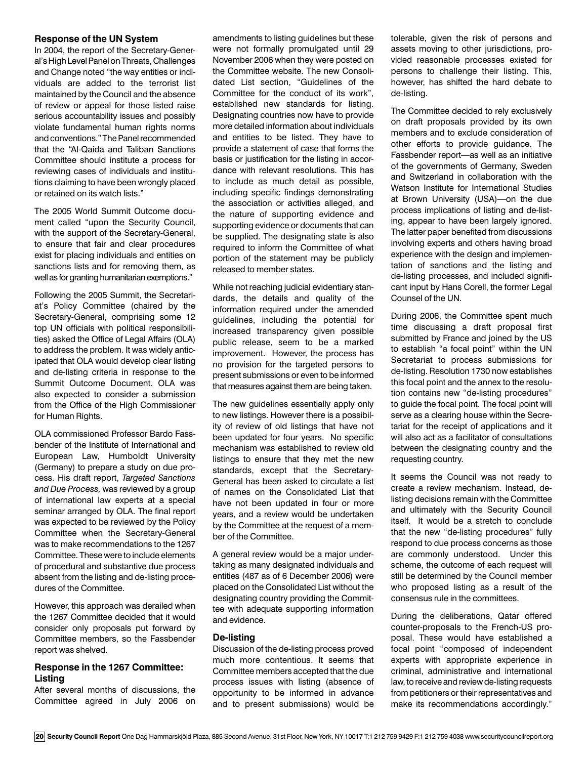#### **Response of the UN System**

In 2004, the report of the Secretary-General's High Level Panel on Threats, Challenges and Change noted "the way entities or individuals are added to the terrorist list maintained by the Council and the absence of review or appeal for those listed raise serious accountability issues and possibly violate fundamental human rights norms and conventions." The Panel recommended that the "Al-Qaida and Taliban Sanctions Committee should institute a process for reviewing cases of individuals and institutions claiming to have been wrongly placed or retained on its watch lists."

The 2005 World Summit Outcome document called "upon the Security Council, with the support of the Secretary-General, to ensure that fair and clear procedures exist for placing individuals and entities on sanctions lists and for removing them, as well as for granting humanitarian exemptions."

Following the 2005 Summit, the Secretariat's Policy Committee (chaired by the Secretary-General, comprising some 12 top UN officials with political responsibilities) asked the Office of Legal Affairs (OLA) to address the problem. It was widely anticipated that OLA would develop clear listing and de-listing criteria in response to the Summit Outcome Document. OLA was also expected to consider a submission from the Office of the High Commissioner for Human Rights.

OLA commissioned Professor Bardo Fassbender of the Institute of International and European Law, Humboldt University (Germany) to prepare a study on due process. His draft report, *Targeted Sanctions and Due Process,* was reviewed by a group of international law experts at a special seminar arranged by OLA. The final report was expected to be reviewed by the Policy Committee when the Secretary-General was to make recommendations to the 1267 Committee. These were to include elements of procedural and substantive due process absent from the listing and de-listing procedures of the Committee.

However, this approach was derailed when the 1267 Committee decided that it would consider only proposals put forward by Committee members, so the Fassbender report was shelved.

#### **Response in the 1267 Committee: Listing**

After several months of discussions, the Committee agreed in July 2006 on

amendments to listing guidelines but these were not formally promulgated until 29 November 2006 when they were posted on the Committee website. The new Consolidated List section, "Guidelines of the Committee for the conduct of its work", established new standards for listing. Designating countries now have to provide more detailed information about individuals and entities to be listed. They have to provide a statement of case that forms the basis or justification for the listing in accordance with relevant resolutions. This has to include as much detail as possible, including specific findings demonstrating the association or activities alleged, and the nature of supporting evidence and supporting evidence or documents that can be supplied. The designating state is also required to inform the Committee of what portion of the statement may be publicly released to member states.

While not reaching judicial evidentiary standards, the details and quality of the information required under the amended guidelines, including the potential for increased transparency given possible public release, seem to be a marked improvement. However, the process has no provision for the targeted persons to present submissions or even to be informed that measures against them are being taken.

The new guidelines essentially apply only to new listings. However there is a possibility of review of old listings that have not been updated for four years. No specific mechanism was established to review old listings to ensure that they met the new standards, except that the Secretary-General has been asked to circulate a list of names on the Consolidated List that have not been updated in four or more years, and a review would be undertaken by the Committee at the request of a member of the Committee.

A general review would be a major undertaking as many designated individuals and entities (487 as of 6 December 2006) were placed on the Consolidated List without the designating country providing the Committee with adequate supporting information and evidence.

#### **De-listing**

Discussion of the de-listing process proved much more contentious. It seems that Committee members accepted that the due process issues with listing (absence of opportunity to be informed in advance and to present submissions) would be

tolerable, given the risk of persons and assets moving to other jurisdictions, provided reasonable processes existed for persons to challenge their listing. This, however, has shifted the hard debate to de-listing.

The Committee decided to rely exclusively on draft proposals provided by its own members and to exclude consideration of other efforts to provide guidance. The Fassbender report—as well as an initiative of the governments of Germany, Sweden and Switzerland in collaboration with the Watson Institute for International Studies at Brown University (USA)—on the due process implications of listing and de-listing, appear to have been largely ignored. The latter paper benefited from discussions involving experts and others having broad experience with the design and implementation of sanctions and the listing and de-listing processes, and included significant input by Hans Corell, the former Legal Counsel of the UN.

During 2006, the Committee spent much time discussing a draft proposal first submitted by France and joined by the US to establish "a focal point" within the UN Secretariat to process submissions for de-listing. Resolution 1730 now establishes this focal point and the annex to the resolution contains new "de-listing procedures" to guide the focal point. The focal point will serve as a clearing house within the Secretariat for the receipt of applications and it will also act as a facilitator of consultations between the designating country and the requesting country.

It seems the Council was not ready to create a review mechanism. Instead, delisting decisions remain with the Committee and ultimately with the Security Council itself. It would be a stretch to conclude that the new "de-listing procedures" fully respond to due process concerns as those are commonly understood. Under this scheme, the outcome of each request will still be determined by the Council member who proposed listing as a result of the consensus rule in the committees.

During the deliberations, Qatar offered counter-proposals to the French-US proposal. These would have established a focal point "composed of independent experts with appropriate experience in criminal, administrative and international law, to receive and review de-listing requests from petitioners or their representatives and make its recommendations accordingly."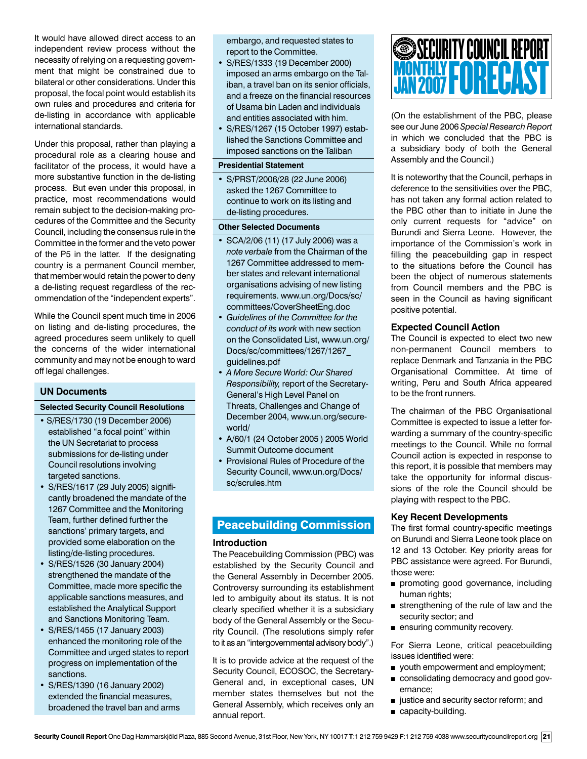It would have allowed direct access to an independent review process without the necessity of relying on a requesting government that might be constrained due to bilateral or other considerations. Under this proposal, the focal point would establish its own rules and procedures and criteria for de-listing in accordance with applicable international standards.

Under this proposal, rather than playing a procedural role as a clearing house and facilitator of the process, it would have a more substantive function in the de-listing process. But even under this proposal, in practice, most recommendations would remain subject to the decision-making procedures of the Committee and the Security Council, including the consensus rule in the Committee in the former and the veto power of the P5 in the latter. If the designating country is a permanent Council member, that member would retain the power to deny a de-listing request regardless of the recommendation of the "independent experts".

While the Council spent much time in 2006 on listing and de-listing procedures, the agreed procedures seem unlikely to quell the concerns of the wider international community and may not be enough to ward off legal challenges.

#### **UN Documents**

#### **Selected Security Council Resolutions**

- S/RES/1730 (19 December 2006) established "a focal point" within the UN Secretariat to process submissions for de-listing under Council resolutions involving targeted sanctions.
- S/RES/1617 (29 July 2005) significantly broadened the mandate of the 1267 Committee and the Monitoring Team, further defined further the sanctions' primary targets, and provided some elaboration on the listing/de-listing procedures.
- S/RES/1526 (30 January 2004) strengthened the mandate of the Committee, made more specific the applicable sanctions measures, and established the Analytical Support and Sanctions Monitoring Team.
- S/RES/1455 (17 January 2003) enhanced the monitoring role of the Committee and urged states to report progress on implementation of the sanctions.
- S/RES/1390 (16 January 2002) extended the financial measures, broadened the travel ban and arms

embargo, and requested states to report to the Committee.

- S/RES/1333 (19 December 2000) imposed an arms embargo on the Taliban, a travel ban on its senior officials, and a freeze on the financial resources of Usama bin Laden and individuals and entities associated with him.
- S/RES/1267 (15 October 1997) established the Sanctions Committee and imposed sanctions on the Taliban

#### **Presidential Statement**

• S/PRST/2006/28 (22 June 2006) asked the 1267 Committee to continue to work on its listing and de-listing procedures.

#### **Other Selected Documents**

- SCA/2/06 (11) (17 July 2006) was a *note verbale* from the Chairman of the 1267 Committee addressed to member states and relevant international organisations advising of new listing requirements. www.un.org/Docs/sc/ committees/CoverSheetEng.doc
- *Guidelines of the Committee for the conduct of its work* with new section on the Consolidated List, www.un.org/ Docs/sc/committees/1267/1267\_ guidelines.pdf
- *A More Secure World: Our Shared Responsibility,* report of the Secretary-General's High Level Panel on Threats, Challenges and Change of December 2004, www.un.org/secureworld/
- A/60/1 (24 October 2005 ) 2005 World Summit Outcome document
- Provisional Rules of Procedure of the Security Council, www.un.org/Docs/ sc/scrules.htm

# Peacebuilding Commission

#### **Introduction**

The Peacebuilding Commission (PBC) was established by the Security Council and the General Assembly in December 2005. Controversy surrounding its establishment led to ambiguity about its status. It is not clearly specified whether it is a subsidiary body of the General Assembly or the Security Council. (The resolutions simply refer to it as an "intergovernmental advisory body".)

It is to provide advice at the request of the Security Council, ECOSOC, the Secretary-General and, in exceptional cases, UN member states themselves but not the General Assembly, which receives only an annual report.

# MONTHLY **FORECAST** SECURITY COUNCIL REPORT JAN 2007

(On the establishment of the PBC, please see our June 2006 *Special Research Report*  in which we concluded that the PBC is a subsidiary body of both the General Assembly and the Council.)

It is noteworthy that the Council, perhaps in deference to the sensitivities over the PBC, has not taken any formal action related to the PBC other than to initiate in June the only current requests for "advice" on Burundi and Sierra Leone. However, the importance of the Commission's work in filling the peacebuilding gap in respect to the situations before the Council has been the object of numerous statements from Council members and the PBC is seen in the Council as having significant positive potential.

#### **Expected Council Action**

The Council is expected to elect two new non-permanent Council members to replace Denmark and Tanzania in the PBC Organisational Committee. At time of writing, Peru and South Africa appeared to be the front runners.

The chairman of the PBC Organisational Committee is expected to issue a letter forwarding a summary of the country-specific meetings to the Council. While no formal Council action is expected in response to this report, it is possible that members may take the opportunity for informal discussions of the role the Council should be playing with respect to the PBC.

#### **Key Recent Developments**

The first formal country-specific meetings on Burundi and Sierra Leone took place on 12 and 13 October. Key priority areas for PBC assistance were agreed. For Burundi, those were:

- promoting good governance, including human rights;
- strengthening of the rule of law and the security sector; and
- **n** ensuring community recovery.

For Sierra Leone, critical peacebuilding issues identified were:

- vouth empowerment and employment;
- consolidating democracy and good governance;
- ustice and security sector reform; and
- capacity-building.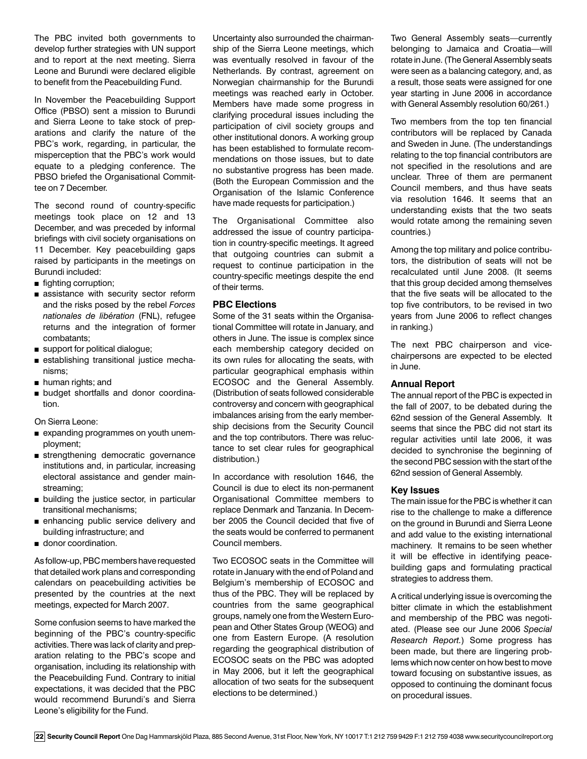The PBC invited both governments to develop further strategies with UN support and to report at the next meeting. Sierra Leone and Burundi were declared eligible to benefit from the Peacebuilding Fund.

In November the Peacebuilding Support Office (PBSO) sent a mission to Burundi and Sierra Leone to take stock of preparations and clarify the nature of the PBC's work, regarding, in particular, the misperception that the PBC's work would equate to a pledging conference. The PBSO briefed the Organisational Committee on 7 December.

The second round of country-specific meetings took place on 12 and 13 December, and was preceded by informal briefings with civil society organisations on 11 December. Key peacebuilding gaps raised by participants in the meetings on Burundi included:

- fighting corruption;
- $a$  assistance with security sector reform and the risks posed by the rebel *Forces nationales de libération* (FNL), refugee returns and the integration of former combatants;
- support for political dialogue;
- establishing transitional justice mechanisms;
- $\blacksquare$  human rights; and
- <sup>n</sup> budget shortfalls and donor coordination.

On Sierra Leone:

- expanding programmes on youth unemployment;
- strengthening democratic governance institutions and, in particular, increasing electoral assistance and gender mainstreaming;
- **n** building the justice sector, in particular transitional mechanisms;
- n enhancing public service delivery and building infrastructure; and
- donor coordination.

As follow-up, PBC members have requested that detailed work plans and corresponding calendars on peacebuilding activities be presented by the countries at the next meetings, expected for March 2007.

Some confusion seems to have marked the beginning of the PBC's country-specific activities. There was lack of clarity and preparation relating to the PBC's scope and organisation, including its relationship with the Peacebuilding Fund. Contrary to initial expectations, it was decided that the PBC would recommend Burundi's and Sierra Leone's eligibility for the Fund.

Uncertainty also surrounded the chairmanship of the Sierra Leone meetings, which was eventually resolved in favour of the Netherlands. By contrast, agreement on Norwegian chairmanship for the Burundi meetings was reached early in October. Members have made some progress in clarifying procedural issues including the participation of civil society groups and other institutional donors. A working group has been established to formulate recommendations on those issues, but to date no substantive progress has been made. (Both the European Commission and the Organisation of the Islamic Conference have made requests for participation.)

The Organisational Committee also addressed the issue of country participation in country-specific meetings. It agreed that outgoing countries can submit a request to continue participation in the country-specific meetings despite the end of their terms.

#### **PBC Elections**

Some of the 31 seats within the Organisational Committee will rotate in January, and others in June. The issue is complex since each membership category decided on its own rules for allocating the seats, with particular geographical emphasis within ECOSOC and the General Assembly. (Distribution of seats followed considerable controversy and concern with geographical imbalances arising from the early membership decisions from the Security Council and the top contributors. There was reluctance to set clear rules for geographical distribution.)

In accordance with resolution 1646, the Council is due to elect its non-permanent Organisational Committee members to replace Denmark and Tanzania. In December 2005 the Council decided that five of the seats would be conferred to permanent Council members.

Two ECOSOC seats in the Committee will rotate in January with the end of Poland and Belgium's membership of ECOSOC and thus of the PBC. They will be replaced by countries from the same geographical groups, namely one from the Western European and Other States Group (WEOG) and one from Eastern Europe. (A resolution regarding the geographical distribution of ECOSOC seats on the PBC was adopted in May 2006, but it left the geographical allocation of two seats for the subsequent elections to be determined.)

Two General Assembly seats—currently belonging to Jamaica and Croatia—will rotate in June. (The General Assembly seats were seen as a balancing category, and, as a result, those seats were assigned for one year starting in June 2006 in accordance with General Assembly resolution 60/261.)

Two members from the top ten financial contributors will be replaced by Canada and Sweden in June. (The understandings relating to the top financial contributors are not specified in the resolutions and are unclear. Three of them are permanent Council members, and thus have seats via resolution 1646. It seems that an understanding exists that the two seats would rotate among the remaining seven countries.)

Among the top military and police contributors, the distribution of seats will not be recalculated until June 2008. (It seems that this group decided among themselves that the five seats will be allocated to the top five contributors, to be revised in two years from June 2006 to reflect changes in ranking.)

The next PBC chairperson and vicechairpersons are expected to be elected in June.

### **Annual Report**

The annual report of the PBC is expected in the fall of 2007, to be debated during the 62nd session of the General Assembly. It seems that since the PBC did not start its regular activities until late 2006, it was decided to synchronise the beginning of the second PBC session with the start of the 62nd session of General Assembly.

#### **Key Issues**

The main issue for the PBC is whether it can rise to the challenge to make a difference on the ground in Burundi and Sierra Leone and add value to the existing international machinery. It remains to be seen whether it will be effective in identifying peacebuilding gaps and formulating practical strategies to address them.

A critical underlying issue is overcoming the bitter climate in which the establishment and membership of the PBC was negotiated. (Please see our June 2006 *Special Research Report.*) Some progress has been made, but there are lingering problems which now center on how best to move toward focusing on substantive issues, as opposed to continuing the dominant focus on procedural issues.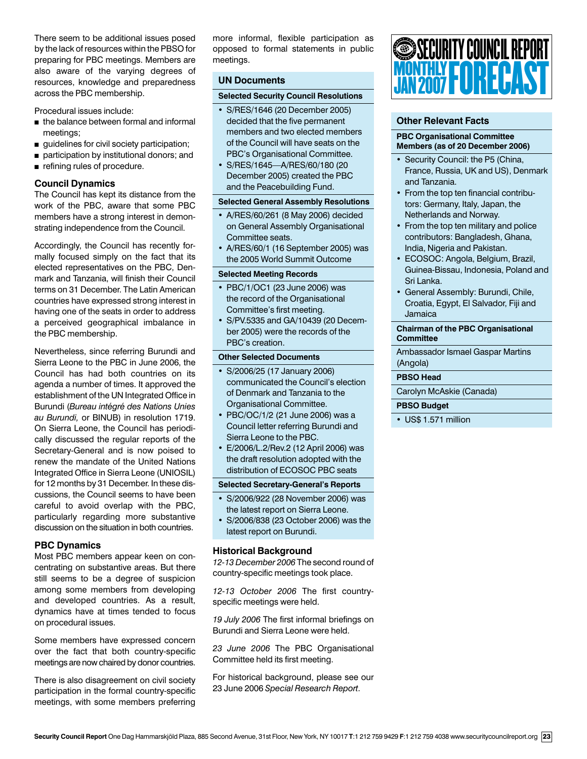There seem to be additional issues posed by the lack of resources within the PBSO for preparing for PBC meetings. Members are also aware of the varying degrees of resources, knowledge and preparedness across the PBC membership.

Procedural issues include:

- $\blacksquare$  the balance between formal and informal meetings;
- quidelines for civil society participation;
- n participation by institutional donors; and
- $\blacksquare$  refining rules of procedure.

### **Council Dynamics**

The Council has kept its distance from the work of the PBC, aware that some PBC members have a strong interest in demonstrating independence from the Council.

Accordingly, the Council has recently formally focused simply on the fact that its elected representatives on the PBC, Denmark and Tanzania, will finish their Council terms on 31 December. The Latin American countries have expressed strong interest in having one of the seats in order to address a perceived geographical imbalance in the PBC membership.

Nevertheless, since referring Burundi and Sierra Leone to the PBC in June 2006, the Council has had both countries on its agenda a number of times. It approved the establishment of the UN Integrated Office in Burundi (*Bureau intégré des Nations Unies au Burundi,* or BINUB) in resolution 1719. On Sierra Leone, the Council has periodically discussed the regular reports of the Secretary-General and is now poised to renew the mandate of the United Nations Integrated Office in Sierra Leone (UNIOSIL) for 12 months by 31 December. In these discussions, the Council seems to have been careful to avoid overlap with the PBC, particularly regarding more substantive discussion on the situation in both countries.

# **PBC Dynamics**

Most PBC members appear keen on concentrating on substantive areas. But there still seems to be a degree of suspicion among some members from developing and developed countries. As a result, dynamics have at times tended to focus on procedural issues.

Some members have expressed concern over the fact that both country-specific meetings are now chaired by donor countries.

There is also disagreement on civil society participation in the formal country-specific meetings, with some members preferring more informal, flexible participation as opposed to formal statements in public meetings.

# **UN Documents**

#### **Selected Security Council Resolutions**

- S/RES/1646 (20 December 2005) decided that the five permanent members and two elected members of the Council will have seats on the PBC's Organisational Committee.
- S/RES/1645—A/RES/60/180 (20 December 2005) created the PBC and the Peacebuilding Fund.

#### **Selected General Assembly Resolutions**

- A/RES/60/261 (8 May 2006) decided on General Assembly Organisational Committee seats.
- A/RES/60/1 (16 September 2005) was the 2005 World Summit Outcome

### **Selected Meeting Records**

- PBC/1/OC1 (23 June 2006) was the record of the Organisational Committee's first meeting.
- S/PV.5335 and GA/10439 (20 December 2005) were the records of the PBC's creation.

#### **Other Selected Documents**

- S/2006/25 (17 January 2006) communicated the Council's election of Denmark and Tanzania to the Organisational Committee.
- PBC/OC/1/2 (21 June 2006) was a Council letter referring Burundi and Sierra Leone to the PBC.
- E/2006/L.2/Rev.2 (12 April 2006) was the draft resolution adopted with the distribution of ECOSOC PBC seats

#### **Selected Secretary-General's Reports**

- S/2006/922 (28 November 2006) was the latest report on Sierra Leone.
- S/2006/838 (23 October 2006) was the latest report on Burundi.

#### **Historical Background**

*12-13 December 2006* The second round of country-specific meetings took place.

*12-13 October 2006* The first countryspecific meetings were held.

*19 July 2006* The first informal briefings on Burundi and Sierra Leone were held.

*23 June 2006* The PBC Organisational Committee held its first meeting.

For historical background, please see our 23 June 2006 *Special Research Report*.



# **Other Relevant Facts**

#### **PBC Organisational Committee Members (as of 20 December 2006)**

- Security Council: the P5 (China, France, Russia, UK and US), Denmark and Tanzania.
- From the top ten financial contributors: Germany, Italy, Japan, the Netherlands and Norway.
- From the top ten military and police contributors: Bangladesh, Ghana, India, Nigeria and Pakistan.
- ECOSOC: Angola, Belgium, Brazil, Guinea-Bissau, Indonesia, Poland and Sri Lanka.
- General Assembly: Burundi, Chile, Croatia, Egypt, El Salvador, Fiji and Jamaica

#### **Chairman of the PBC Organisational Committee**

Ambassador Ismael Gaspar Martins (Angola)

#### **PBSO Head**

Carolyn McAskie (Canada)

#### **PBSO Budget**

• US\$ 1.571 million